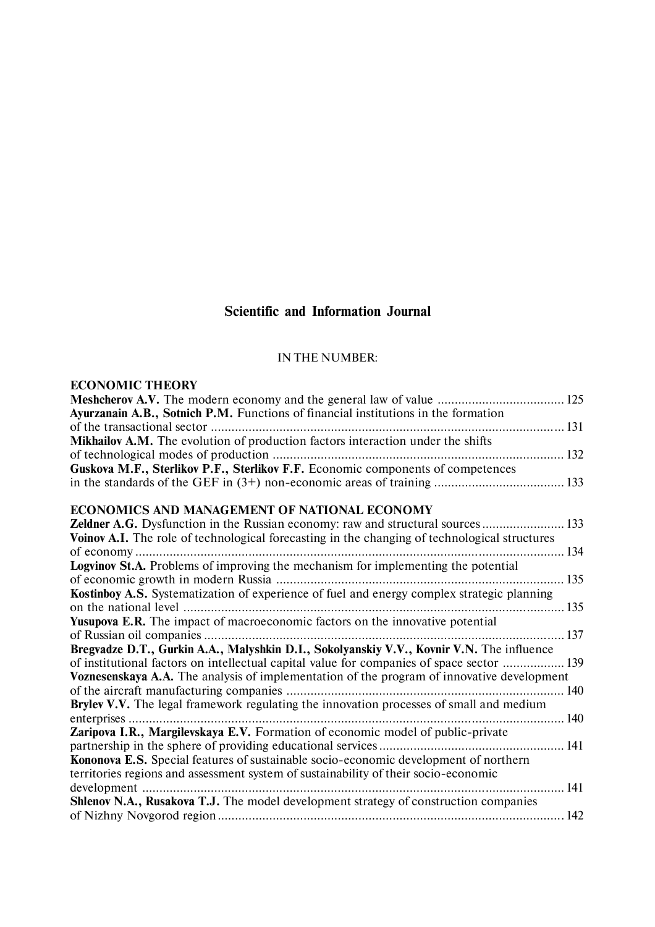# **Scientific and Information Journal**

## IN THE NUMBER:

# **ECONOMIC THEORY**

| Ayurzanain A.B., Sotnich P.M. Functions of financial institutions in the formation                |  |
|---------------------------------------------------------------------------------------------------|--|
|                                                                                                   |  |
| Mikhailov A.M. The evolution of production factors interaction under the shifts                   |  |
|                                                                                                   |  |
| Guskova M.F., Sterlikov P.F., Sterlikov F.F. Economic components of competences                   |  |
|                                                                                                   |  |
| ECONOMICS AND MANAGEMENT OF NATIONAL ECONOMY                                                      |  |
| Zeldner A.G. Dysfunction in the Russian economy: raw and structural sources 133                   |  |
| Voinov A.I. The role of technological forecasting in the changing of technological structures     |  |
|                                                                                                   |  |
| Logvinov St.A. Problems of improving the mechanism for implementing the potential                 |  |
|                                                                                                   |  |
| Kostinboy A.S. Systematization of experience of fuel and energy complex strategic planning        |  |
|                                                                                                   |  |
| Yusupova E.R. The impact of macroeconomic factors on the innovative potential                     |  |
|                                                                                                   |  |
| Bregvadze D.T., Gurkin A.A., Malyshkin D.I., Sokolyanskiy V.V., Kovnir V.N. The influence         |  |
| of institutional factors on intellectual capital value for companies of space sector  139         |  |
| <b>Voznesenskaya A.A.</b> The analysis of implementation of the program of innovative development |  |
|                                                                                                   |  |
| Brylev V.V. The legal framework regulating the innovation processes of small and medium           |  |
| 140<br>enterprises                                                                                |  |
| Zaripova I.R., Margilevskaya E.V. Formation of economic model of public-private                   |  |
|                                                                                                   |  |
| Kononova E.S. Special features of sustainable socio-economic development of northern              |  |
| territories regions and assessment system of sustainability of their socio-economic               |  |
|                                                                                                   |  |
| Shlenov N.A., Rusakova T.J. The model development strategy of construction companies              |  |
|                                                                                                   |  |
|                                                                                                   |  |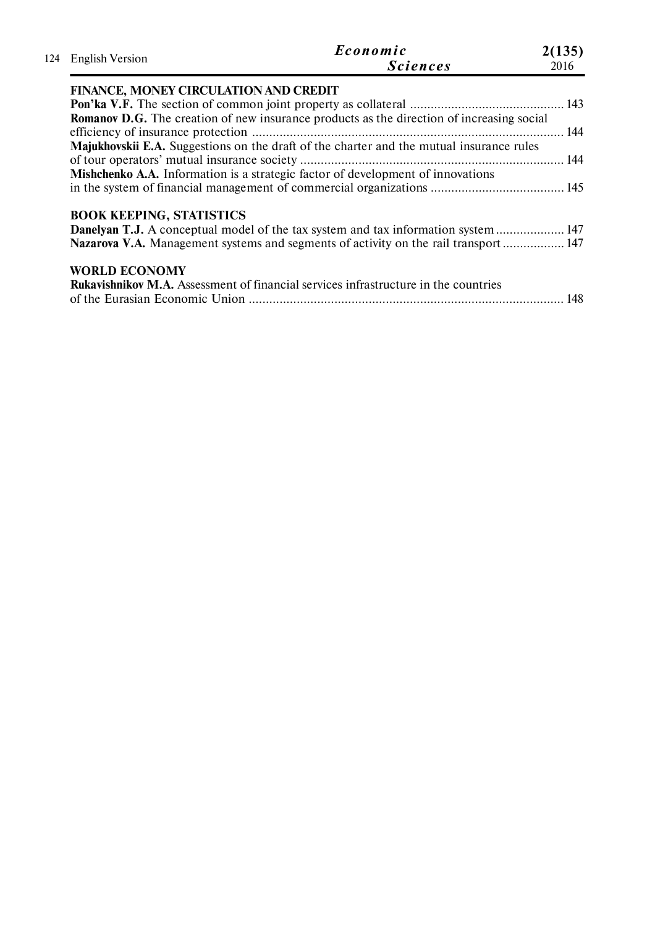|                                       | Economic                                                                                         | 2(135) |
|---------------------------------------|--------------------------------------------------------------------------------------------------|--------|
| 124 English Version                   | <b>Sciences</b>                                                                                  | 2016   |
| FINANCE, MONEY CIRCULATION AND CREDIT |                                                                                                  |        |
|                                       |                                                                                                  |        |
|                                       | <b>Romanov D.G.</b> The creation of new insurance products as the direction of increasing social |        |
|                                       |                                                                                                  |        |
|                                       | Majukhovskii E.A. Suggestions on the draft of the charter and the mutual insurance rules         |        |
|                                       |                                                                                                  |        |
|                                       | <b>Mishchenko A.A.</b> Information is a strategic factor of development of innovations           |        |
|                                       |                                                                                                  |        |
| <b>BOOK KEEPING, STATISTICS</b>       |                                                                                                  |        |
|                                       | <b>Danelyan T.J.</b> A conceptual model of the tax system and tax information system  147        |        |
|                                       | Nazarova V.A. Management systems and segments of activity on the rail transport  147             |        |
| <b>WORLD ECONOMY</b>                  |                                                                                                  |        |
|                                       | <b>Rukavishnikov M.A.</b> Assessment of financial services infrastructure in the countries       |        |
|                                       |                                                                                                  | 148    |
|                                       |                                                                                                  |        |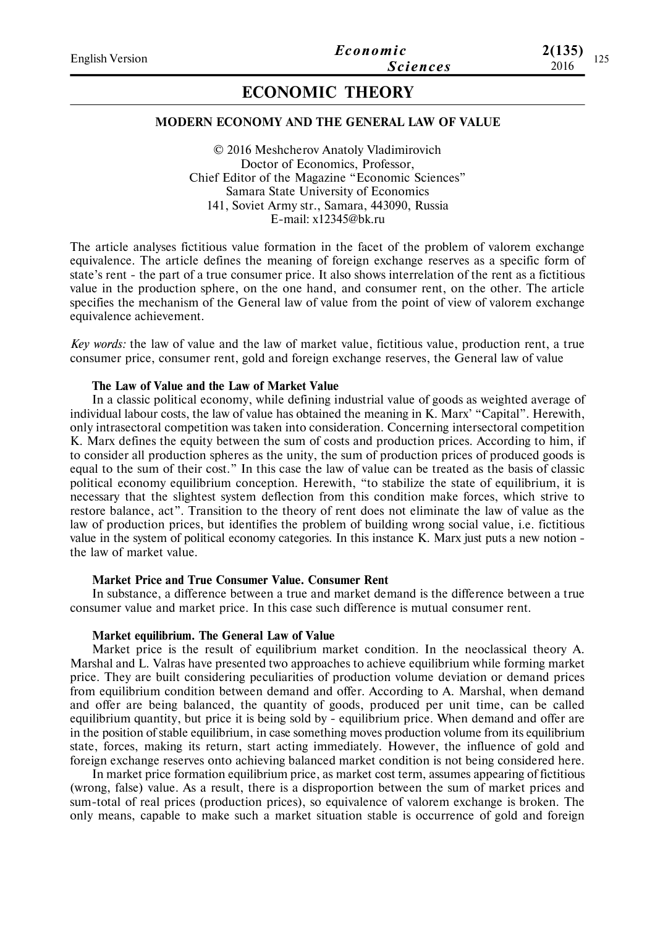# **ECONOMIC THEORY**

# **MODERN ECONOMY AND THE GENERAL LAW OF VALUE**

© 2016 Meshcherov Anatoly Vladimirovich Doctor of Economics, Professor, Chief Editor of the Magazine "Economic Sciences" Samara State University of Economics 141, Soviet Army str., Samara, 443090, Russia E-mail: x12345@bk.ru

The article analyses fictitious value formation in the facet of the problem of valorem exchange equivalence. The article defines the meaning of foreign exchange reserves as a specific form of state's rent - the part of a true consumer price. It also shows interrelation of the rent as a fictitious value in the production sphere, on the one hand, and consumer rent, on the other. The article specifies the mechanism of the General law of value from the point of view of valorem exchange equivalence achievement.

*Key words:* the law of value and the law of market value, fictitious value, production rent, a true consumer price, consumer rent, gold and foreign exchange reserves, the General law of value

## **The Law of Value and the Law of Market Value**

In a classic political economy, while defining industrial value of goods as weighted average of individual labour costs, the law of value has obtained the meaning in K. Marx' "Capital". Herewith, only intrasectoral competition was taken into consideration. Concerning intersectoral competition K. Marx defines the equity between the sum of costs and production prices. According to him, if to consider all production spheres as the unity, the sum of production prices of produced goods is equal to the sum of their cost." In this case the law of value can be treated as the basis of classic political economy equilibrium conception. Herewith, "to stabilize the state of equilibrium, it is necessary that the slightest system deflection from this condition make forces, which strive to restore balance, act". Transition to the theory of rent does not eliminate the law of value as the law of production prices, but identifies the problem of building wrong social value, i.e. fictitious value in the system of political economy categories. In this instance K. Marx just puts a new notion the law of market value.

## **Market Price and True Consumer Value. Consumer Rent**

In substance, a difference between a true and market demand is the difference between a true consumer value and market price. In this case such difference is mutual consumer rent.

## **Market equilibrium. The General Law of Value**

Market price is the result of equilibrium market condition. In the neoclassical theory A. Marshal and L. Valras have presented two approaches to achieve equilibrium while forming market price. They are built considering peculiarities of production volume deviation or demand prices from equilibrium condition between demand and offer. According to A. Marshal, when demand and offer are being balanced, the quantity of goods, produced per unit time, can be called equilibrium quantity, but price it is being sold by - equilibrium price. When demand and offer are in the position of stable equilibrium, in case something moves production volume from its equilibrium state, forces, making its return, start acting immediately. However, the influence of gold and foreign exchange reserves onto achieving balanced market condition is not being considered here.

In market price formation equilibrium price, as market cost term, assumes appearing of fictitious (wrong, false) value. As a result, there is a disproportion between the sum of market prices and sum-total of real prices (production prices), so equivalence of valorem exchange is broken. The only means, capable to make such a market situation stable is occurrence of gold and foreign

**2(135)**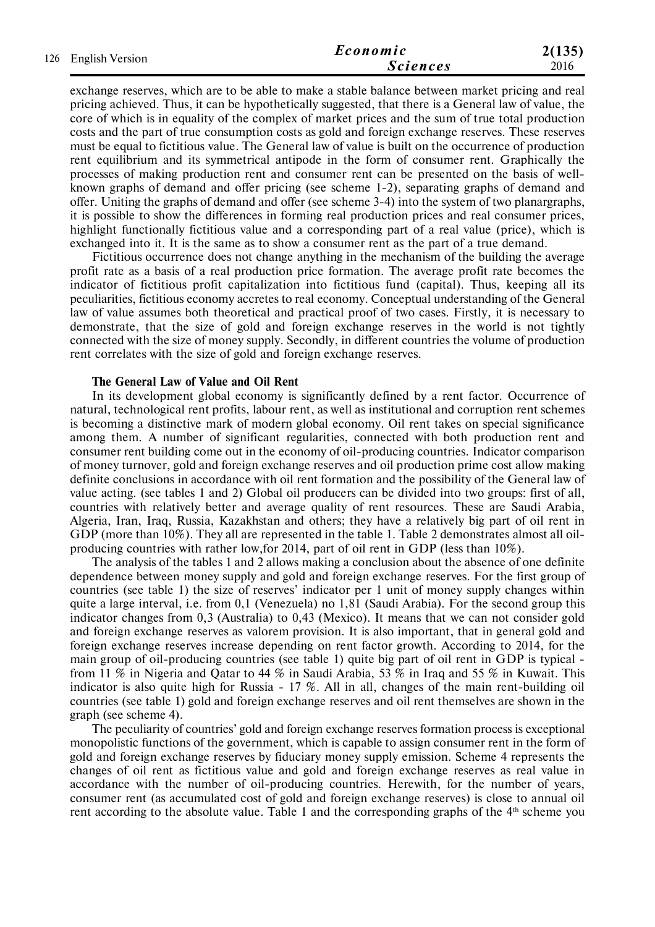| 126 English Version | Economic        | 2(135) |  |  |  |
|---------------------|-----------------|--------|--|--|--|
|                     | <b>Sciences</b> | 2016   |  |  |  |

exchange reserves, which are to be able to make a stable balance between market pricing and real pricing achieved. Thus, it can be hypothetically suggested, that there is a General law of value, the core of which is in equality of the complex of market prices and the sum of true total production costs and the part of true consumption costs as gold and foreign exchange reserves. These reserves must be equal to fictitious value. The General law of value is built on the occurrence of production rent equilibrium and its symmetrical antipode in the form of consumer rent. Graphically the processes of making production rent and consumer rent can be presented on the basis of wellknown graphs of demand and offer pricing (see scheme 1-2), separating graphs of demand and offer. Uniting the graphs of demand and offer (see scheme 3-4) into the system of two planargraphs, it is possible to show the differences in forming real production prices and real consumer prices, highlight functionally fictitious value and a corresponding part of a real value (price), which is exchanged into it. It is the same as to show a consumer rent as the part of a true demand.

Fictitious occurrence does not change anything in the mechanism of the building the average profit rate as a basis of a real production price formation. The average profit rate becomes the indicator of fictitious profit capitalization into fictitious fund (capital). Thus, keeping all its peculiarities, fictitious economy accretes to real economy. Conceptual understanding of the General law of value assumes both theoretical and practical proof of two cases. Firstly, it is necessary to demonstrate, that the size of gold and foreign exchange reserves in the world is not tightly connected with the size of money supply. Secondly, in different countries the volume of production rent correlates with the size of gold and foreign exchange reserves.

#### **The General Law of Value and Oil Rent**

In its development global economy is significantly defined by a rent factor. Occurrence of natural, technological rent profits, labour rent, as well as institutional and corruption rent schemes is becoming a distinctive mark of modern global economy. Oil rent takes on special significance among them. A number of significant regularities, connected with both production rent and consumer rent building come out in the economy of oil-producing countries. Indicator comparison of money turnover, gold and foreign exchange reserves and oil production prime cost allow making definite conclusions in accordance with oil rent formation and the possibility of the General law of value acting. (see tables 1 and 2) Global oil producers can be divided into two groups: first of all, countries with relatively better and average quality of rent resources. These are Saudi Arabia, Algeria, Iran, Iraq, Russia, Kazakhstan and others; they have a relatively big part of oil rent in GDP (more than 10%). They all are represented in the table 1. Table 2 demonstrates almost all oilproducing countries with rather low,for 2014, part of oil rent in GDP (less than 10%).

The analysis of the tables 1 and 2 allows making a conclusion about the absence of one definite dependence between money supply and gold and foreign exchange reserves. For the first group of countries (see table 1) the size of reserves' indicator per 1 unit of money supply changes within quite a large interval, i.e. from 0,1 (Venezuela) no 1,81 (Saudi Arabia). For the second group this indicator changes from 0,3 (Australia) to 0,43 (Mexico). It means that we can not consider gold and foreign exchange reserves as valorem provision. It is also important, that in general gold and foreign exchange reserves increase depending on rent factor growth. According to 2014, for the main group of oil-producing countries (see table 1) quite big part of oil rent in GDP is typical from 11 % in Nigeria and Qatar to 44 % in Saudi Arabia, 53 % in Iraq and 55 % in Kuwait. This indicator is also quite high for Russia  $-17\%$ . All in all, changes of the main rent-building oil countries (see table 1) gold and foreign exchange reserves and oil rent themselves are shown in the graph (see scheme 4).

The peculiarity of countries' gold and foreign exchange reserves formation process is exceptional monopolistic functions of the government, which is capable to assign consumer rent in the form of gold and foreign exchange reserves by fiduciary money supply emission. Scheme 4 represents the changes of oil rent as fictitious value and gold and foreign exchange reserves as real value in accordance with the number of oil-producing countries. Herewith, for the number of years, consumer rent (as accumulated cost of gold and foreign exchange reserves) is close to annual oil rent according to the absolute value. Table 1 and the corresponding graphs of the  $4<sup>th</sup>$  scheme you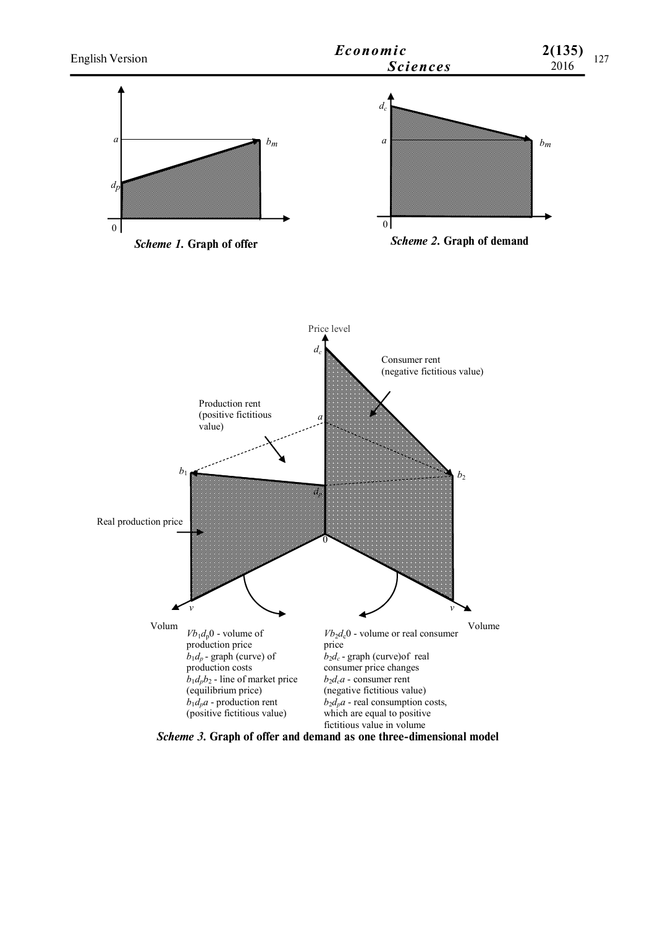

*Scheme 3.* **Graph of offer and demand as one three-dimensional model**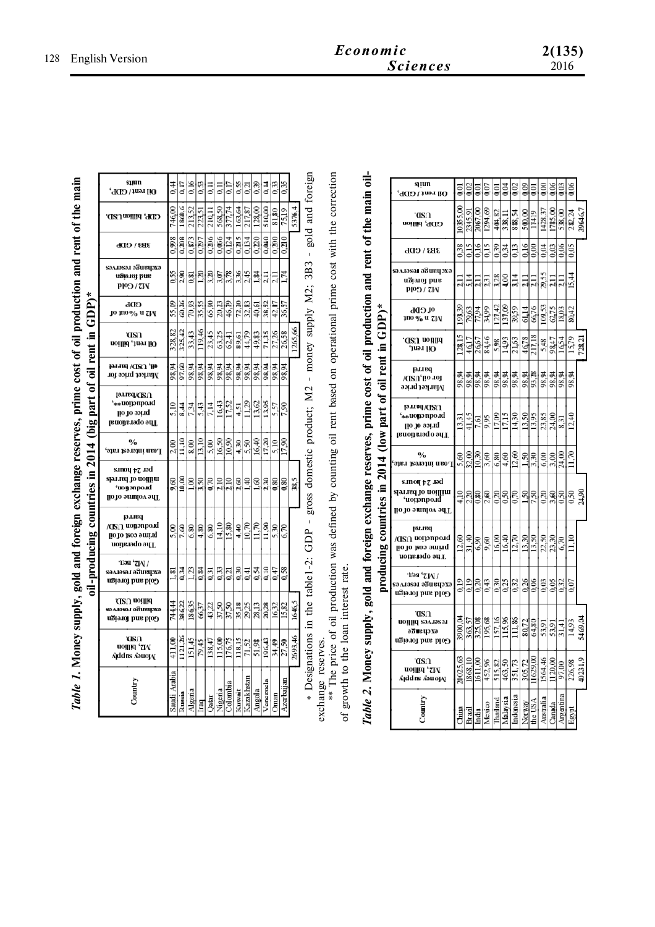| oil-producing countries in 2014 (big part of oil rent in GDP)*<br>"oney supply, gold and foreign exchange reserves, prime cost of oil product.<br>Table 1. Mone, |
|------------------------------------------------------------------------------------------------------------------------------------------------------------------|
|                                                                                                                                                                  |

|                                   | sıµın<br>Oil rent / GDP,                                                | 0,44         | 0,17           | 0.16          | 0,53     | Ξ      | Ξ       | 0.17     | 0,55   | 0.21                  | 0,39   | 0,14     | 0,33      | 0,35           |         |
|-----------------------------------|-------------------------------------------------------------------------|--------------|----------------|---------------|----------|--------|---------|----------|--------|-----------------------|--------|----------|-----------|----------------|---------|
|                                   | GDP, billionUSD.                                                        | 746,00       | 1860,6         | 213,52        | 223,51   | 210.11 | 568,50  | 377.74   | 163,64 | 217.87                | 128,00 | 510,00   | 81,80     | 75.1           | 5376,4  |
|                                   | $3B3 \setminus GDD$                                                     | 0.998        | 0,208          | 0,873         | 0.297    | 0,206  | 0.066   | 0,124    | 0.215  | 0.134                 | 0,220  | 0,040    | 0,200     | 0.210          |         |
|                                   | ѕәдләѕәл ә5иецэхә<br>ugia of brie<br><b>ND/Gold</b>                     | 0.55         | $\frac{50}{2}$ | $_{0.81}$     | $^{120}$ | 3,20   | 3,07    | 3.78     | 3,36   | 245                   | 1.84   | $\Xi$    | Ξ         | L74            |         |
|                                   | GDL<br>jo mo% a Zi⁄i                                                    | 55,09        | 60,26          | 70,93         | 35.55    | 65,90  | 20,23   | 46,79    |        | $\frac{72,20}{32,83}$ | 40,61  | 38,52    | 42,17     | 36,57          |         |
|                                   | ตรา<br>Oil rent, billion                                                | 328,82       | 325,42         | 33,43         | 119.46   | 23,45  | 63,25   | 62,41    | 89,61  | 44,79                 | 49,83  | 71,35    | 27,26     | 26.58          | 1265,66 |
|                                   | oil, USD/ barrel<br>Market price for                                    | 98,94        | 97,60          | 98,94         | 98,94    | 98,94  | 98,94   | 98,94    | 98,94  | 98,94                 | 98,94  | 98,94    | 98,94     | 98,94          |         |
| (big part of oil rent in GDP) $*$ | lərnad\Q2U<br>'**uomction**,<br>lio 10 aoi 1q<br>The operational        | 5.10         | 8,44           | 7,34          | 5.43     | 7,14   | 16,43   | 17,52    | 4,51   | 11.29                 | 13,62  | 13,95    | 5,57      | 7,90           |         |
|                                   | $\mathbf{v}_0$<br>'әтел ұғаларда ияб $_{\rm 1}$                         | 2,00         | 11,10          | $\frac{8}{6}$ | 13.10    | 5,00   | 16,50   | 10,90    |        | $\frac{430}{550}$     | 16,40  | 17,20    | 5.10      | 17,90          |         |
|                                   | s.moy 77 asq<br>sp.r.nq jo uojjjiur<br>'uonnpo.ul<br>lio to smulov srlT | 9,60         | 10,00          | 1,00          | 3,50     | 0,70   | 2,10    | 2,10     | 2,60   | 1,40                  | 1,60   | 2,30     | $_{0.80}$ | $\frac{80}{3}$ | 38,5    |
| oil-producing countries in 2014   | parrel<br>/Œ∩ uonวnpo.īd<br>hrime coat ot oil<br>uonuado əy L           | 5,00         | 7,60           | 6,80          | 4,80     | 6,80   | 14,10   | 15,80    | 4,40   | 10,70                 | 11,70  | 11,90    | 5,30      | 6.70           |         |
|                                   | ∙ Гэя ''Д∖ /<br>саллэгэл э¤игирхэ<br>Gold and foreign                   | 1.81         | 0.34           | 1,23          | 0.84     | 0,31   | 0,33    | 0,21     |        | $\frac{38}{11}$       | 0,54   | 0,10     | 0,47      | 0,58           |         |
|                                   | ARU noillid<br>вәлләвәл ә5ивирхә<br>Gold and foreign                    | 744,44       | 386,22         | 18635         | 66,37    | 43,22  | 37,50   | 37,50    |        | 35,18                 | 28,13  | 20,28    | 16,32     | 15,82          | 1646,5  |
|                                   | അവ<br>vr, billion<br>Addns Aəuoj N                                      | 411.00       | 1121,26        | 151.45        | 79.45    | 138,47 | 115,00  | 176,75   | 118.15 | 71,52                 | 51,98  | 196,43   | 34,49     | 27,50          | 2693,46 |
|                                   | Count                                                                   | Saudi Arabia | Russia         | Algeria       | Iraq     | Qatar  | Nigeria | Colombia | Kuwat  | Kazakhstan            | Angola | Venezuel | hman      | Azerbaijan     |         |

\* Designations in the table1-2: GDP - gross domestic product; M2 - money supply M2; 3B3 - gold and foreign Designations in the table1-2: GDP - gross domestic product; М2 - money supply М2; ЗВЗ - gold and foreign exchange reserves. exchange reserves.

exchange reserves.<br>\*\* The price of oil production was defined by counting oil rent based on operational prime cost with the correction<br>of growth to the loan interest rate. \*\* The price of oil production was defined by counting oil rent based on operational prime cost with the correction of growth to the loan interest rate.

Table 2. Money supply, gold and foreign exchange reserves, prime cost of oil production and rent of the main oil-*Table 2.* **Money supply, gold and foreign exchange reserves, prime cost of oil production and rent of the main oil**producing countries in 2014 (low part of oil rent in GDP)\*

|                             | sı jun<br>Oil rent / GDP,                                                          | 0,01       | 0.02      |           |           | Q,01     | 0,04                | 0,02           | 0.09           | 0.01      | $\frac{8}{9}$         |                    | 0.03      | 0.06     |         |
|-----------------------------|------------------------------------------------------------------------------------|------------|-----------|-----------|-----------|----------|---------------------|----------------|----------------|-----------|-----------------------|--------------------|-----------|----------|---------|
|                             | .asu<br>GDF, billion                                                               | 10355,00   | 2345.91   | 2067.00   | 1294,69   | 404,82   | 338,1               | 888,54         | 500,00         | 17419     | 1428,37               | 1785,00            | 538,00    | 282,24   | 39646,7 |
|                             | 3B3 \ GDL                                                                          | 0,38       | 0.15      | 0.16      | 0.15      | 0,39     | 0.34                | 0,13           | 0.16           | $_{0.00}$ | 0.04                  | 0.03               | 0.06      | 0.05     |         |
|                             | รอ⊼เอรอ.เ อธินนนุวxอ<br>ugiorot bus<br>NJ / Cold                                   | Ξ          |           | Ę         | 231       | 3,28     | 4.00                | $\frac{14}{1}$ | Ξ              | Ξ         | 29,55                 | $\frac{1}{2}$      | Ę         | 15,44    |         |
|                             | ot CDL<br>1no % a 7JN                                                              | 193,39     | 79,63     | 77,94     | 34,99     | 127,42   | 137.09              | 39,59          | 61,14          | 66,76     | 109,53                | 62,75              | 18,03     | 80,42    |         |
| $\mathsf{rent}$ in GDP)*    | .asU noillid<br>'1uə.1 HO                                                          | 128,15     | 46,17     | 26,67     | 84,46     | 5,98     | 14,93               | 21,63          | 46,78          | 217.18    | 5,48                  | 98,47              | 16,54     | 15,79    | 728,21  |
|                             | parrel<br>/ASU,lio 101<br>Магкеt ргісе                                             | ಕ್ತ<br>98, | ž<br>98   | 98,94     | ਡ਼<br>98, | 98,94    | 98,94               | 98,94          | 98,94          | 93,28     | $\frac{98.94}{98.94}$ |                    | ž<br>g.   | ड्<br>98 |         |
| (low part of oil            | <b>D</b> TI&URU<br>'**uoin>ubon**,<br>price ot oil<br>The o perational             | 13,31      | 41,45     | 7,61      | 9,95      | 17,09    | 17.15               | 14,30          | 13,50          | 13,95     | $\frac{23,85}{24,00}$ |                    | 8,31      | 12,40    |         |
|                             | $\frac{0}{0}$<br>Loan interest rate,                                               | 5,60       | 32,00     | 10,30     | 3,60      | 6,80     | 4,60                | 12,60          | 1.50           | 3,30      | 6,00                  | 3,00               | 24,00     |          |         |
|                             | s.moų <sub>F</sub> z .iəd<br>million of barrels<br>uojpropon,<br>lio to amulov arT | 4,10       | 2,20      | $_{0.80}$ | 2,60      |          | $rac{0.50}{0.50}$   | 0,70           | 1.50           | 7,50      | $\frac{20}{3,60}$     |                    | 0,50      | 0,50     | 24,90   |
| producing countries in 2014 | lər ved<br>/CIS∩ uoțpnpo.īd<br>prime cost of oil<br>The operation                  | 12,60      | 31,40     | 6,90      | 9,60      | 16,00    | 16,40               | 12,70          | 13,30          | 13,50     |                       | $\frac{25}{23,30}$ | 6.70      |          |         |
|                             | ∙гэя 'zw<br>ехсрэнэ за геветлег<br>Gold and foreign                                | 0.19       | 0.19      | 0.20      | 0,43      |          | $\frac{0,30}{0,25}$ | 0,32           | $\frac{38}{9}$ |           | $\frac{0.03}{0.05}$   |                    | 0,32      | 007      |         |
|                             | 'nΩ<br>uojjiją səл.iəsə.i<br>ә8ие изхә<br>Gold and foreign                         | 3900,04    | 5<br>363, | 325.08    | 195,68    | 157, 16  | 115.96              |                | 80,72          | 64,80     | $\frac{53,91}{53,91}$ |                    | 31,41     | 14,93    | 5469,04 |
|                             | 'nΩ<br>roillid , SM<br>Ajddns AauojĄ                                               | 20025,63   | 1868.10   | 1611.00   | 452,96    | 515,82   | 463,50              | 351,73         | 305,72         | 1629,00   | 1564,46               | 1120,00            | 97.00     | 226,98   | 40231,9 |
|                             | Countr                                                                             | China      | Brazil    | India     | Mexico    | Thailand | Malaysia            | Indonesia      | Norway         | the USA   | Australia             | Canada             | Argentina | Egypt    |         |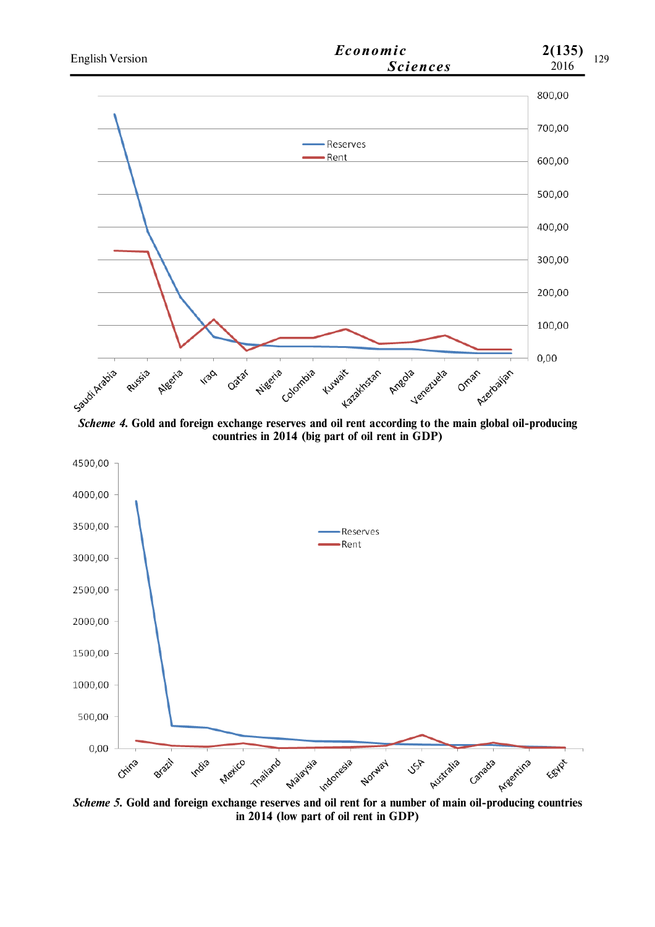

**countries in 2014 (big part of oil rent in GDP)**



**in 2014 (low part of oil rent in GDP)**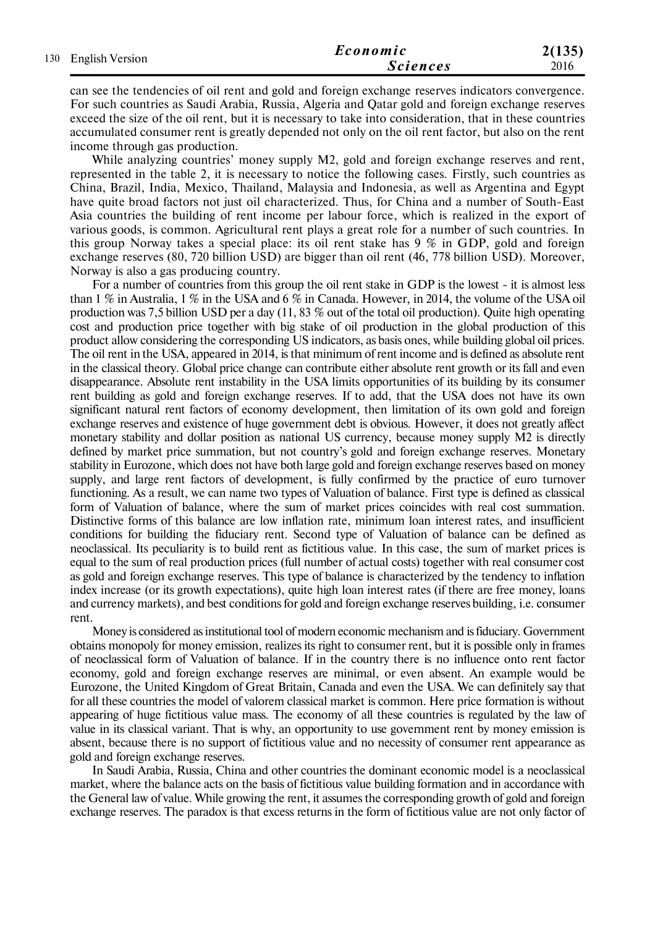|  | 130 English Version | Economic        | 2(135) |  |  |
|--|---------------------|-----------------|--------|--|--|
|  |                     | <b>Sciences</b> | 2016   |  |  |

can see the tendencies of oil rent and gold and foreign exchange reserves indicators convergence. For such countries as Saudi Arabia, Russia, Algeria and Qatar gold and foreign exchange reserves exceed the size of the oil rent, but it is necessary to take into consideration, that in these countries accumulated consumer rent is greatly depended not only on the oil rent factor, but also on the rent income through gas production.

While analyzing countries' money supply M2, gold and foreign exchange reserves and rent, represented in the table 2, it is necessary to notice the following cases. Firstly, such countries as China, Brazil, India, Mexico, Thailand, Malaysia and Indonesia, as well as Argentina and Egypt have quite broad factors not just oil characterized. Thus, for China and a number of South-East Asia countries the building of rent income per labour force, which is realized in the export of various goods, is common. Agricultural rent plays a great role for a number of such countries. In this group Norway takes a special place: its oil rent stake has 9 % in GDP, gold and foreign exchange reserves (80, 720 billion USD) are bigger than oil rent (46, 778 billion USD). Moreover, Norway is also a gas producing country.

For a number of countries from this group the oil rent stake in GDP is the lowest - it is almost less than 1 % in Australia, 1 % in the USA and 6 % in Canada. However, in 2014, the volume of the USA oil production was 7,5 billion USD per a day (11, 83 % out of the total oil production). Quite high operating cost and production price together with big stake of oil production in the global production of this product allow considering the corresponding US indicators, as basis ones, while building global oil prices. The oil rent in the USA, appeared in 2014, is that minimum of rent income and is defined as absolute rent in the classical theory. Global price change can contribute either absolute rent growth or its fall and even disappearance. Absolute rent instability in the USA limits opportunities of its building by its consumer rent building as gold and foreign exchange reserves. If to add, that the USA does not have its own significant natural rent factors of economy development, then limitation of its own gold and foreign exchange reserves and existence of huge government debt is obvious. However, it does not greatly affect monetary stability and dollar position as national US currency, because money supply M2 is directly defined by market price summation, but not country's gold and foreign exchange reserves. Monetary stability in Eurozone, which does not have both large gold and foreign exchange reserves based on money supply, and large rent factors of development, is fully confirmed by the practice of euro turnover functioning. As a result, we can name two types of Valuation of balance. First type is defined as classical form of Valuation of balance, where the sum of market prices coincides with real cost summation. Distinctive forms of this balance are low inflation rate, minimum loan interest rates, and insufficient conditions for building the fiduciary rent. Second type of Valuation of balance can be defined as neoclassical. Its peculiarity is to build rent as fictitious value. In this case, the sum of market prices is equal to the sum of real production prices (full number of actual costs) together with real consumer cost as gold and foreign exchange reserves. This type of balance is characterized by the tendency to inflation index increase (or its growth expectations), quite high loan interest rates (if there are free money, loans and currency markets), and best conditions for gold and foreign exchange reserves building, i.e. consumer rent.

Money is considered as institutional tool of modern economic mechanism and is fiduciary. Government obtains monopoly for money emission, realizes its right to consumer rent, but it is possible only in frames of neoclassical form of Valuation of balance. If in the country there is no influence onto rent factor economy, gold and foreign exchange reserves are minimal, or even absent. An example would be Eurozone, the United Kingdom of Great Britain, Canada and even the USA. We can definitely say that for all these countries the model of valorem classical market is common. Here price formation is without appearing of huge fictitious value mass. The economy of all these countries is regulated by the law of value in its classical variant. That is why, an opportunity to use government rent by money emission is absent, because there is no support of fictitious value and no necessity of consumer rent appearance as gold and foreign exchange reserves.

In Saudi Arabia, Russia, China and other countries the dominant economic model is a neoclassical market, where the balance acts on the basis of fictitious value building formation and in accordance with the General law of value. While growing the rent, it assumes the corresponding growth of gold and foreign exchange reserves. The paradox is that excess returns in the form of fictitious value are not only factor of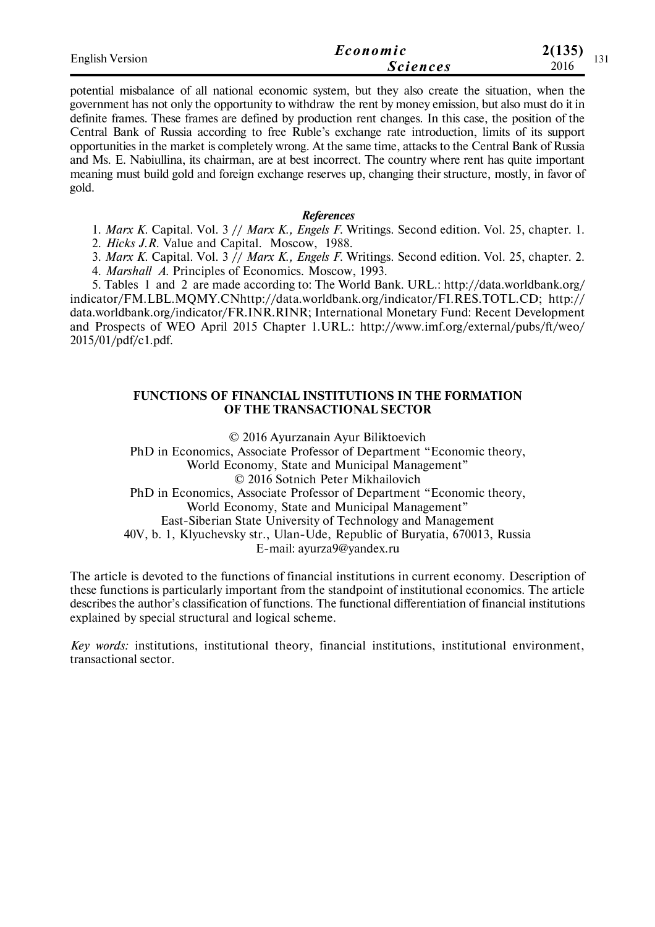| <b>English Version</b> | Economic        | 2(135)             |  |
|------------------------|-----------------|--------------------|--|
|                        | <b>Sciences</b> | $1 \vee 1$<br>2016 |  |

potential misbalance of all national economic system, but they also create the situation, when the government has not only the opportunity to withdraw the rent by money emission, but also must do it in definite frames. These frames are defined by production rent changes. In this case, the position of the Central Bank of Russia according to free Ruble's exchange rate introduction, limits of its support opportunities in the market is completely wrong. At the same time, attacks to the Central Bank of Russia and Ms. E. Nabiullina, its chairman, are at best incorrect. The country where rent has quite important meaning must build gold and foreign exchange reserves up, changing their structure, mostly, in favor of gold.

#### *References*

1. *Marx K.* Capital. Vol. 3 // *Marx K., Engels F.* Writings. Second edition. Vol. 25, chapter. 1.

2. *Hicks J.R.* Value and Capital. Moscow, 1988.

3. *Marx K.* Capital. Vol. 3 // *Marx K., Engels F.* Writings. Second edition. Vol. 25, chapter. 2. 4. *Marshall А.* Principles of Economics. Moscow, 1993.

5. Tables 1 and 2 are made according to: The World Bank. URL.: http://data.worldbank.org/ indicator/FM.LBL.MQMY.CNhttp://data.worldbank.org/indicator/FI.RES.TOTL.CD; http:// data.worldbank.org/indicator/FR.INR.RINR; International Monetary Fund: Recent Development and Prospects of WEO April 2015 Chapter 1.URL.: http://www.imf.org/external/pubs/ft/weo/ 2015/01/pdf/c1.pdf.

#### **FUNCTIONS OF FINANCIAL INSTITUTIONS IN THE FORMATION OF THE TRANSACTIONAL SECTOR**

© 2016 Ayurzanain Ayur Biliktoevich

PhD in Economics, Associate Professor of Department "Economic theory, World Economy, State and Municipal Management" © 2016 Sotnich Peter Mikhailovich PhD in Economics, Associate Professor of Department "Economic theory, World Economy, State and Municipal Management" East-Siberian State University of Technology and Management 40V, b. 1, Klyuchevsky str., Ulan-Ude, Republic of Buryatia, 670013, Russia E-mail: ayurza9@yandex.ru

The article is devoted to the functions of financial institutions in current economy. Description of these functions is particularly important from the standpoint of institutional economics. The article describes the author's classification of functions. The functional differentiation of financial institutions explained by special structural and logical scheme.

*Key words:* institutions, institutional theory, financial institutions, institutional environment, transactional sector.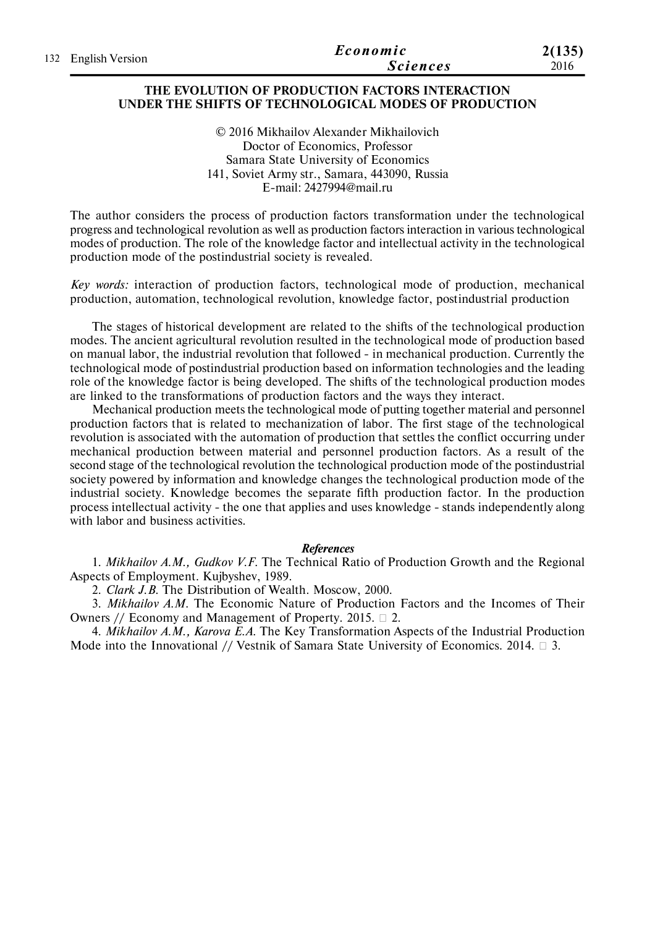| 132 English Version | Economic        | 2(135) |
|---------------------|-----------------|--------|
|                     | <b>Sciences</b> | 2016   |

### **THE EVOLUTION OF PRODUCTION FACTORS INTERACTION UNDER THE SHIFTS OF TECHNOLOGICAL MODES OF PRODUCTION**

© 2016 Mikhailov Alexander Mikhailovich Doctor of Economics, Professor Samara State University of Economics 141, Soviet Army str., Samara, 443090, Russia E-mail: 2427994@mail.ru

The author considers the process of production factors transformation under the technological progress and technological revolution as well as production factors interaction in various technological modes of production. The role of the knowledge factor and intellectual activity in the technological production mode of the postindustrial society is revealed.

*Key words:* interaction of production factors, technological mode of production, mechanical production, automation, technological revolution, knowledge factor, postindustrial production

The stages of historical development are related to the shifts of the technological production modes. The ancient agricultural revolution resulted in the technological mode of production based on manual labor, the industrial revolution that followed - in mechanical production. Currently the technological mode of postindustrial production based on information technologies and the leading role of the knowledge factor is being developed. The shifts of the technological production modes are linked to the transformations of production factors and the ways they interact.

Mechanical production meets the technological mode of putting together material and personnel production factors that is related to mechanization of labor. The first stage of the technological revolution is associated with the automation of production that settles the conflict occurring under mechanical production between material and personnel production factors. As a result of the second stage of the technological revolution the technological production mode of the postindustrial society powered by information and knowledge changes the technological production mode of the industrial society. Knowledge becomes the separate fifth production factor. In the production process intellectual activity - the one that applies and uses knowledge - stands independently along with labor and business activities.

#### *References*

1. *Mikhailov A.M., Gudkov V.F.* The Technical Ratio of Production Growth and the Regional Aspects of Employment. Kujbyshev, 1989.

2. *Clark J.B.* The Distribution of Wealth. Moscow, 2000.

3. *Mikhailov A.M.* The Economic Nature of Production Factors and the Incomes of Their Owners // Economy and Management of Property. 2015.  $\Box$  2.

4. *Mikhailov A.M., Karova E.A.* The Key Transformation Aspects of the Industrial Production Mode into the Innovational // Vestnik of Samara State University of Economics. 2014.  $\Box$  3.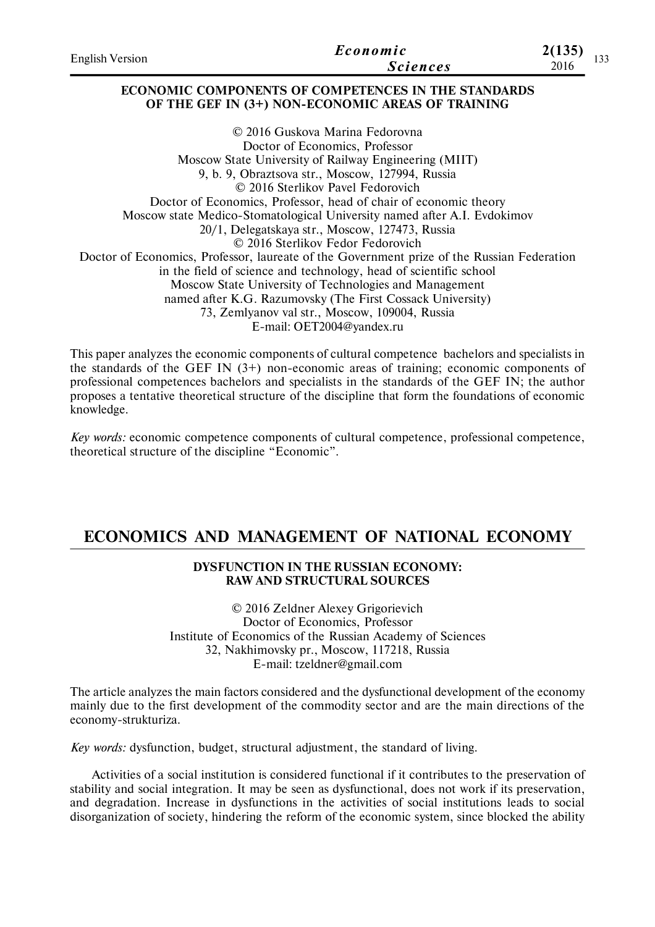| <b>English Version</b> | Economic<br><b>Sciences</b>                                                                              | 2(135)<br>2016 | 133 |
|------------------------|----------------------------------------------------------------------------------------------------------|----------------|-----|
|                        | ECONOMIC COMPONENTS OF COMPETENCES IN THE STANDARDS<br>OF THE GEF IN (3+) NON-ECONOMIC AREAS OF TRAINING |                |     |
|                        | © 2016 Guskova Marina Fedorovna                                                                          |                |     |
|                        | Doctor of Economics, Professor                                                                           |                |     |
|                        | Moscow State University of Railway Engineering (MIIT)                                                    |                |     |
|                        | 9, b. 9, Obraztsova str., Moscow, 127994, Russia                                                         |                |     |
|                        | © 2016 Sterlikov Pavel Fedorovich                                                                        |                |     |
|                        | Doctor of Economics, Professor, head of chair of economic theory                                         |                |     |
|                        | Moscow state Medico-Stomatological University named after A.I. Evdokimov                                 |                |     |
|                        | 20/1, Delegatskaya str., Moscow, 127473, Russia                                                          |                |     |
|                        | © 2016 Sterlikov Fedor Fedorovich                                                                        |                |     |
|                        | Doctor of Economics, Professor, laureate of the Government prize of the Russian Federation               |                |     |
|                        | in the field of science and technology, head of scientific school                                        |                |     |
|                        | Moscow State University of Technologies and Management                                                   |                |     |
|                        | named after V C. Dezumovalar (The Eirst Cosseals University)                                             |                |     |

named after K.G. Razumovsky (The First Cossack University) 73, Zemlyanov val str., Moscow, 109004, Russia

E-mail: OET2004@yandex.ru

This paper analyzes the economic components of cultural competence bachelors and specialists in the standards of the GEF IN  $(3+)$  non-economic areas of training; economic components of professional competences bachelors and specialists in the standards of the GEF IN; the author proposes a tentative theoretical structure of the discipline that form the foundations of economic knowledge.

*Key words:* economic competence components of cultural competence, professional competence, theoretical structure of the discipline "Economic".

# **ECONOMICS AND MANAGEMENT OF NATIONAL ECONOMY**

## **DYSFUNCTION IN THE RUSSIAN ECONOMY: RAW AND STRUCTURAL SOURCES**

© 2016 Zeldner Aleхey Grigorievich Doctor of Economics, Professor Institute of Economics of the Russian Academy of Sciences 32, Nakhimovsky pr., Moscow, 117218, Russia E-mail: tzeldner@gmail.com

The article analyzes the main factors considered and the dysfunctional development of the economy mainly due to the first development of the commodity sector and are the main directions of the economy-strukturiza.

*Key words:* dysfunction, budget, structural adjustment, the standard of living.

Activities of a social institution is considered functional if it contributes to the preservation of stability and social integration. It may be seen as dysfunctional, does not work if its preservation, and degradation. Increase in dysfunctions in the activities of social institutions leads to social disorganization of society, hindering the reform of the economic system, since blocked the ability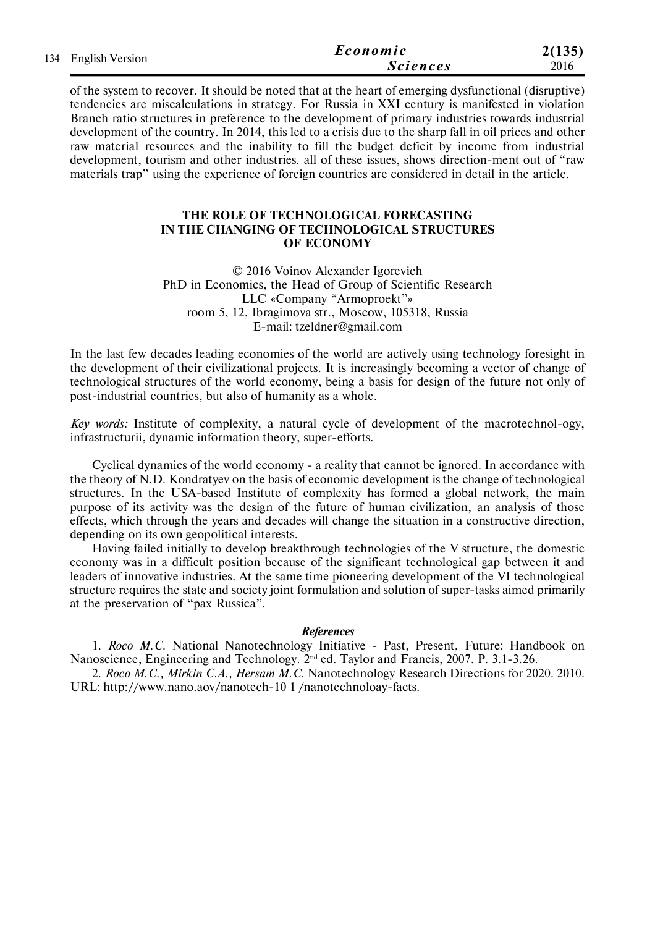| 134 English Version | Economic        | 2(135) |  |  |  |
|---------------------|-----------------|--------|--|--|--|
|                     | <b>Sciences</b> | 2016   |  |  |  |

of the system to recover. It should be noted that at the heart of emerging dysfunctional (disruptive) tendencies are miscalculations in strategy. For Russia in XXI century is manifested in violation Branch ratio structures in preference to the development of primary industries towards industrial development of the country. In 2014, this led to a crisis due to the sharp fall in oil prices and other raw material resources and the inability to fill the budget deficit by income from industrial development, tourism and other industries. all of these issues, shows direction-ment out of "raw materials trap" using the experience of foreign countries are considered in detail in the article.

### **THE ROLE OF TECHNOLOGICAL FORECASTING IN THE CHANGING OF TECHNOLOGICAL STRUCTURES OF ECONOMY**

© 2016 Voinov Aleхander Igorevich PhD in Economics, the Head of Group of Scientific Research LLC «Company "Armoproekt"» room 5, 12, Ibragimova str., Moscow, 105318, Russia E-mail: tzeldner@gmail.com

In the last few decades leading economies of the world are actively using technology foresight in the development of their civilizational projects. It is increasingly becoming a vector of change of technological structures of the world economy, being a basis for design of the future not only of post-industrial countries, but also of humanity as a whole.

*Key words:* Institute of complexity, a natural cycle of development of the macrotechnol-ogy, infrastructurii, dynamic information theory, super-efforts.

Cyclical dynamics of the world economy - a reality that cannot be ignored. In accordance with the theory of N.D. Kondratyev on the basis of economic development is the change of technological structures. In the USA-based Institute of complexity has formed a global network, the main purpose of its activity was the design of the future of human civilization, an analysis of those effects, which through the years and decades will change the situation in a constructive direction, depending on its own geopolitical interests.

Having failed initially to develop breakthrough technologies of the V structure, the domestic economy was in a difficult position because of the significant technological gap between it and leaders of innovative industries. At the same time pioneering development of the VI technological structure requires the state and society joint formulation and solution of super-tasks aimed primarily at the preservation of "pax Russica".

#### *References*

1. *Roco M.C.* National Nanotechnology Initiative - Past, Present, Future: Handbook on Nanoscience, Engineering and Technology. 2nd ed. Taylor and Francis, 2007. P. 3.1-3.26.

2. *Roco M.C., Mirkin C.A., Hersam M.C.* Nanotechnology Research Directions for 2020. 2010. URL: http://www.nano.aov/nanotech-10 1 /nanotechnoloay-facts.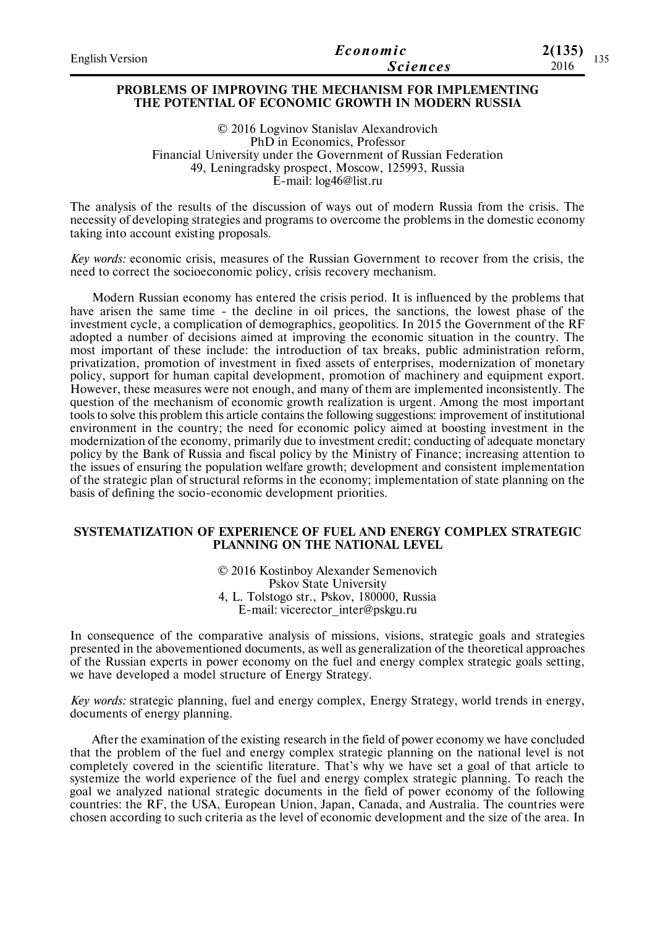| <b>English Version</b> | Economic        | 2(135)<br>125 |
|------------------------|-----------------|---------------|
|                        | <b>Sciences</b> | 199<br>2016   |

#### **PROBLEMS OF IMPROVING THE MECHANISM FOR IMPLEMENTING THE POTENTIAL OF ECONOMIC GROWTH IN MODERN RUSSIA**

© 2016 Logvinov Stanislav Alexandrovich PhD in Economics, Professor Financial University under the Government of Russian Federation 49, Leningradsky prospect, Moscow, 125993, Russia E-mail: log46@list.ru

The analysis of the results of the discussion of ways out of modern Russia from the crisis. The necessity of developing strategies and programs to overcome the problems in the domestic economy taking into account existing proposals.

*Key words:* economic crisis, measures of the Russian Government to recover from the crisis, the need to correct the socioeconomic policy, crisis recovery mechanism.

Modern Russian economy has entered the crisis period. It is influenced by the problems that have arisen the same time - the decline in oil prices, the sanctions, the lowest phase of the investment cycle, a complication of demographics, geopolitics. In 2015 the Government of the RF adopted a number of decisions aimed at improving the economic situation in the country. The most important of these include: the introduction of tax breaks, public administration reform, privatization, promotion of investment in fixed assets of enterprises, modernization of monetary policy, support for human capital development, promotion of machinery and equipment export. However, these measures were not enough, and many of them are implemented inconsistently. The question of the mechanism of economic growth realization is urgent. Among the most important tools to solve this problem this article contains the following suggestions: improvement of institutional environment in the country; the need for economic policy aimed at boosting investment in the modernization of the economy, primarily due to investment credit; conducting of adequate monetary policy by the Bank of Russia and fiscal policy by the Ministry of Finance; increasing attention to the issues of ensuring the population welfare growth; development and consistent implementation of the strategic plan of structural reforms in the economy; implementation of state planning on the basis of defining the socio-economic development priorities.

#### **SYSTEMATIZATION OF EXPERIENCE OF FUEL AND ENERGY COMPLEX STRATEGIC PLANNING ON THE NATIONAL LEVEL**

© 2016 Kostinboy Alexander Semenovich Pskov State University 4, L. Tolstogo str., Pskov, 180000, Russia E-mail: vicerector\_inter@pskgu.ru

In consequence of the comparative analysis of missions, visions, strategic goals and strategies presented in the abovementioned documents, as well as generalization of the theoretical approaches of the Russian experts in power economy on the fuel and energy complex strategic goals setting, we have developed a model structure of Energy Strategy.

*Key words:* strategic planning, fuel and energy complex, Energy Strategy, world trends in energy, documents of energy planning.

After the examination of the existing research in the field of power economy we have concluded that the problem of the fuel and energy complex strategic planning on the national level is not completely covered in the scientific literature. That's why we have set a goal of that article to systemize the world experience of the fuel and energy complex strategic planning. To reach the goal we analyzed national strategic documents in the field of power economy of the following countries: the RF, the USA, European Union, Japan, Canada, and Australia. The countries were chosen according to such criteria as the level of economic development and the size of the area. In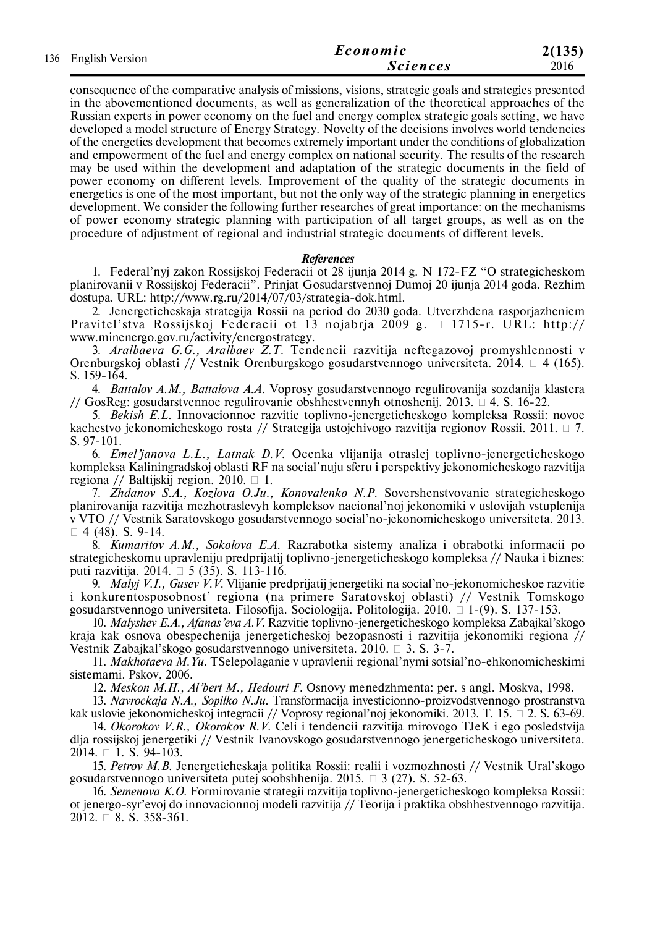| 136 English Version | Economic        | 2(135) |
|---------------------|-----------------|--------|
|                     | <b>Sciences</b> | 2016   |

consequence of the comparative analysis of missions, visions, strategic goals and strategies presented in the abovementioned documents, as well as generalization of the theoretical approaches of the Russian experts in power economy on the fuel and energy complex strategic goals setting, we have developed a model structure of Energy Strategy. Novelty of the decisions involves world tendencies of the energetics development that becomes extremely important under the conditions of globalization and empowerment of the fuel and energy complex on national security. The results of the research may be used within the development and adaptation of the strategic documents in the field of power economy on different levels. Improvement of the quality of the strategic documents in energetics is one of the most important, but not the only way of the strategic planning in energetics development. We consider the following further researches of great importance: on the mechanisms of power economy strategic planning with participation of all target groups, as well as on the procedure of adjustment of regional and industrial strategic documents of different levels.

#### *References*

1. Federal'nyj zakon Rossijskoj Federacii ot 28 ijunja 2014 g. N 172-FZ "O strategicheskom planirovanii v Rossijskoj Federacii". Prinjat Gosudarstvennoj Dumoj 20 ijunja 2014 goda. Rezhim dostupa. URL: http://www.rg.ru/2014/07/03/strategia-dok.html.

2. Jenergeticheskaja strategija Rossii na period do 2030 goda. Utverzhdena rasporjazheniem Pravitel'stva Rossijskoj Federacii ot 13 nojabrja 2009 g.  $\Box$  1715-r. URL: http:// www.minenergo.gov.ru/activity/energostrategy.

3. *Aralbaeva G.G., Aralbaev Z.T.* Tendencii razvitija neftegazovoj promyshlennosti v Orenburgskoj oblasti // Vestnik Orenburgskogo gosudarstvennogo universiteta. 2014. □ 4 (165). S. 159-164.

4. *Battalov A.M., Battalova A.A.* Voprosy gosudarstvennogo regulirovanija sozdanija klastera // GosReg: gosudarstvennoe regulirovanie obshhestvennyh otnoshenij. 2013.  $\Box$  4. S. 16-22.

5. *Bekish E.L.* Innovacionnoe razvitie toplivno-jenergeticheskogo kompleksa Rossii: novoe kachestvo jekonomicheskogo rosta // Strategija ustojchivogo razvitija regionov Rossii. 2011.  $\Box$  7. S. 97-101.

6. *Emel'janova L.L., Latnak D.V.* Ocenka vlijanija otraslej toplivno-jenergeticheskogo kompleksa Kaliningradskoj oblasti RF na social'nuju sferu i perspektivy jekonomicheskogo razvitija regiona // Baltijskij region. 2010.  $\Box$  1.

7. *Zhdanov S.A., Kozlova O.Ju., Konovalenko N.P.* Sovershenstvovanie strategicheskogo planirovanija razvitija mezhotraslevyh kompleksov nacional'noj jekonomiki v uslovijah vstuplenija v VTO // Vestnik Saratovskogo gosudarstvennogo social'no-jekonomicheskogo universiteta. 2013.  $\Box$  4 (48). S. 9-14.

8. *Kumaritov A.M., Sokolova E.A.* Razrabotka sistemy analiza i obrabotki informacii po strategicheskomu upravleniju predprijatij toplivno-jenergeticheskogo kompleksa // Nauka i biznes: puti razvitija. 2014.  $\Box$  5 (35). S. 113-116.

9. *Malyj V.I., Gusev V.V.* Vlijanie predprijatij jenergetiki na social'no-jekonomicheskoe razvitie i konkurentosposobnost' regiona (na primere Saratovskoj oblasti) // Vestnik Tomskogo gosudarstvennogo universiteta. Filosofija. Sociologija. Politologija.  $2010$ .  $\Box$  1-(9). S. 137-153.

10. *Malyshev E.A., Afanas'eva A.V.* Razvitie toplivno-jenergeticheskogo kompleksa Zabajkal'skogo kraja kak osnova obespechenija jenergeticheskoj bezopasnosti i razvitija jekonomiki regiona // Vestnik Zabajkal'skogo gosudarstvennogo universiteta. 2010.  $\Box$  3. S. 3-7.

11. *Makhotaeva M.Yu.* TSelepolaganie v upravlenii regional'nymi sotsial'no-ehkonomicheskimi sistemami. Pskov, 2006.

12. *Meskon M.H., Al'bert M., Hedouri F.* Osnovy menedzhmenta: per. s angl. Moskva, 1998.

13. *Navrockaja N.A., Sopilko N.Ju.* Transformacija investicionno-proizvodstvennogo prostranstva

kak uslovie jekonomicheskoj integracii // Voprosy regional'noj jekonomiki. 2013. T. 15.  $\Box$  2. S. 63-69. 14. *Okorokov V.R., Okorokov R.V.* Celi i tendencii razvitija mirovogo TJeK i ego posledstvija dlja rossijskoj jenergetiki // Vestnik Ivanovskogo gosudarstvennogo jenergeticheskogo universiteta. 2014. □ 1. S. 94-103.

15. *Petrov M.B.* Jenergeticheskaja politika Rossii: realii i vozmozhnosti // Vestnik Ural'skogo gosudarstvennogo universiteta putej soobshhenija.  $2015. \Box$  3 (27). S. 52-63.

16. *Semenova K.O.* Formirovanie strategii razvitija toplivno-jenergeticheskogo kompleksa Rossii: ot jenergo-syr'evoj do innovacionnoj modeli razvitija // Teorija i praktika obshhestvennogo razvitija.  $2012. \Box$  8. S. 358-361.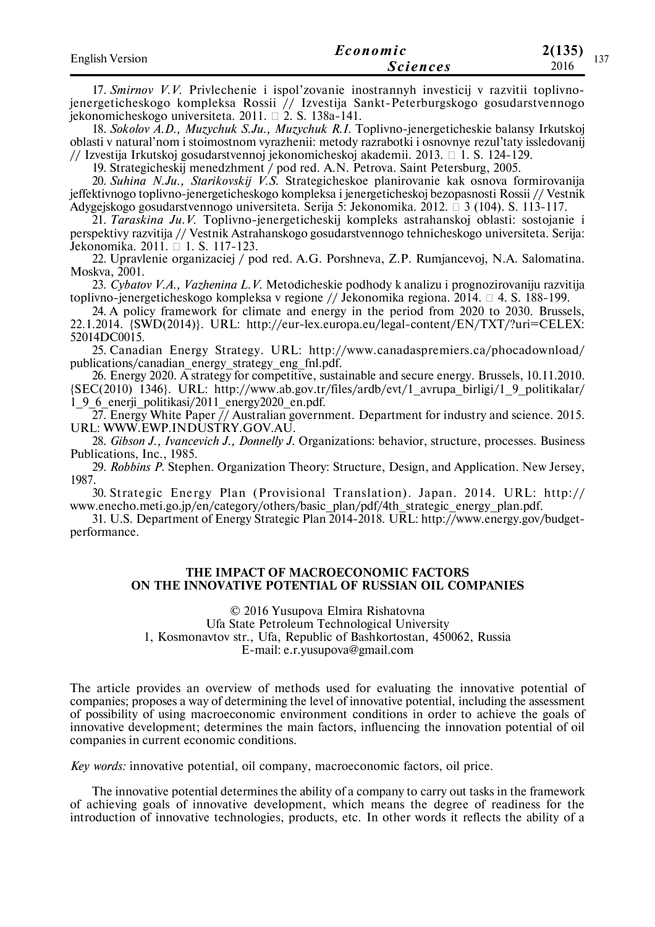| <b>English Version</b> | Economic        | 2(135)<br>1.27 |
|------------------------|-----------------|----------------|
|                        | <i>Sciences</i> | 121<br>2016    |

17. *Smirnov V.V.* Privlechenie i ispol'zovanie inostrannyh investicij v razvitii toplivnojenergeticheskogo kompleksa Rossii // Izvestija Sankt-Peterburgskogo gosudarstvennogo jekonomicheskogo universiteta. 2011. 2. S. 138a-141.

18. *Sokolov A.D., Muzychuk S.Ju., Muzychuk R.I.* Toplivno-jenergeticheskie balansy Irkutskoj oblasti v natural'nom i stoimostnom vyrazhenii: metody razrabotki i osnovnye rezul'taty issledovanij // Izvestija Irkutskoj gosudarstvennoj jekonomicheskoj akademii. 2013.  $\Box$  1. S. 124-129.

19. Strategicheskij menedzhment / pod red. A.N. Petrova. Saint Petersburg, 2005.

20. *Suhina N.Ju., Starikovskij V.S.* Strategicheskoe planirovanie kak osnova formirovanija jeffektivnogo toplivno-jenergeticheskogo kompleksa i jenergeticheskoj bezopasnosti Rossii // Vestnik Adygejskogo gosudarstvennogo universiteta. Serija 5: Jekonomika. 2012.  $\Box$  3 (104). S. 113-117.

21. *Taraskina Ju.V.* Toplivno-jenergeticheskij kompleks astrahanskoj oblasti: sostojanie i perspektivy razvitija // Vestnik Astrahanskogo gosudarstvennogo tehnicheskogo universiteta. Serija: Jekonomika. 2011. □ 1. S. 117-123.

22. Upravlenie organizaciej / pod red. A.G. Porshneva, Z.P. Rumjancevoj, N.A. Salomatina. Moskva, 2001.

23. *Cybatov V.A., Vazhenina L.V.* Metodicheskie podhody k analizu i prognozirovaniju razvitija toplivno-jenergeticheskogo kompleksa v regione // Jekonomika regiona.  $2014. \Box$  4. S. 188-199.

24. A policy framework for climate and energy in the period from 2020 to 2030. Brussels, 22.1.2014. {SWD(2014)}. URL: http://eur-lex.europa.eu/legal-content/EN/TXT/?uri=CELEX: 52014DC0015.

25. Canadian Energy Strategy. URL: http://www.canadaspremiers.ca/phocadownload/ publications/canadian\_energy\_strategy\_eng\_fnl.pdf.

26. Energy 2020. A strategy for competitive, sustainable and secure energy. Brussels, 10.11.2010. {SEC(2010) 1346}. URL: http://www.ab.gov.tr/files/ardb/evt/1\_avrupa\_birligi/1\_9\_politikalar/ 1\_9\_6\_enerji\_politikasi/2011\_energy2020\_en.pdf.

27. Energy White Paper  $\frac{7}{4}$  Australian government. Department for industry and science. 2015. URL: WWW.EWP.INDUSTRY.GOV.AU.

28. *Gibson J., Ivancevich J., Donnelly J.* Organizations: behavior, structure, processes. Business Publications, Inc., 1985.

29. *Robbins P.* Stephen. Organization Theory: Structure, Design, and Application. New Jersey, 1987.

30. Strategic Energy Plan (Provisional Translation). Japan. 2014. URL: http:// www.enecho.meti.go.jp/en/category/others/basic\_plan/pdf/4th\_strategic\_energy\_plan.pdf.

31. U.S. Department of Energy Strategic Plan 2014-2018. URL: http://www.energy.gov/budgetperformance.

#### **THE IMPACT OF MACROECONOMIC FACTORS ON THE INNOVATIVE POTENTIAL OF RUSSIAN OIL COMPANIES**

© 2016 Yusupova Elmira Rishatovna Ufa State Petroleum Technological University 1, Kosmonavtov str., Ufa, Republic of Bashkortostan, 450062, Russia E-mail: e.r.yusupova@gmail.com

The article provides an overview of methods used for evaluating the innovative potential of companies; proposes a way of determining the level of innovative potential, including the assessment of possibility of using macroeconomic environment conditions in order to achieve the goals of innovative development; determines the main factors, influencing the innovation potential of oil companies in current economic conditions.

*Key words:* innovative potential, oil company, macroeconomic factors, oil price.

The innovative potential determines the ability of a company to carry out tasks in the framework of achieving goals of innovative development, which means the degree of readiness for the introduction of innovative technologies, products, etc. In other words it reflects the ability of a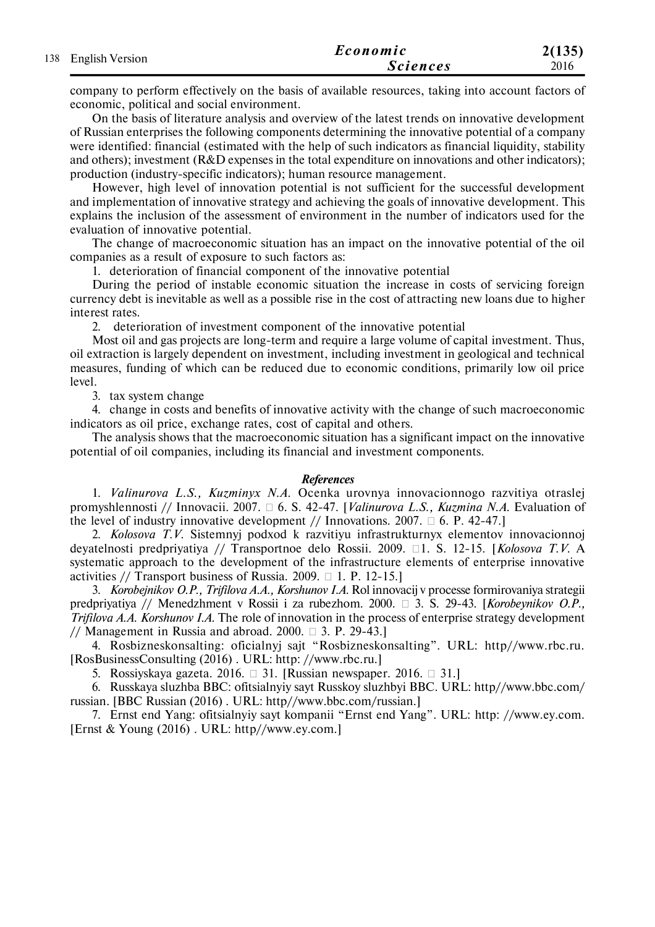|                     | Economic        | 2(135) |
|---------------------|-----------------|--------|
| 138 English Version | <i>Sciences</i> | 2016   |

company to perform effectively on the basis of available resources, taking into account factors of economic, political and social environment.

On the basis of literature analysis and overview of the latest trends on innovative development of Russian enterprises the following components determining the innovative potential of a company were identified: financial (estimated with the help of such indicators as financial liquidity, stability and others); investment (R&D expenses in the total expenditure on innovations and other indicators); production (industry-specific indicators); human resource management.

However, high level of innovation potential is not sufficient for the successful development and implementation of innovative strategy and achieving the goals of innovative development. This explains the inclusion of the assessment of environment in the number of indicators used for the evaluation of innovative potential.

The change of macroeconomic situation has an impact on the innovative potential of the oil companies as a result of exposure to such factors as:

1. deterioration of financial component of the innovative potential

During the period of instable economic situation the increase in costs of servicing foreign currency debt is inevitable as well as a possible rise in the cost of attracting new loans due to higher interest rates.

2. deterioration of investment component of the innovative potential

Most oil and gas projects are long-term and require a large volume of capital investment. Thus, oil extraction is largely dependent on investment, including investment in geological and technical measures, funding of which can be reduced due to economic conditions, primarily low oil price level.

3. tax system change

4. change in costs and benefits of innovative activity with the change of such macroeconomic indicators as oil price, exchange rates, cost of capital and others.

The analysis shows that the macroeconomic situation has a significant impact on the innovative potential of oil companies, including its financial and investment components.

#### *References*

1. *Valinurova L.S., Kuzminyx N.A.* Ocenka urovnya innovacionnogo razvitiya otraslej promyshlennosti // Innovacii. 2007. 6. S. 42-47. [*Valinurova L.S., Kuzmina N.A.* Evaluation of the level of industry innovative development // Innovations. 2007.  $\Box$  6. P. 42-47.]

2. *Kolosova T.V.* Sistemnyj podxod k razvitiyu infrastrukturnyx elementov innovacionnoj deyatelnosti predpriyatiya // Transportnoe delo Rossii. 2009. □1. S. 12-15. [*Kolosova T.V.* A systematic approach to the development of the infrastructure elements of enterprise innovative activities // Transport business of Russia. 2009.  $\Box$  1. P. 12-15.

3. *Korobejnikov O.P., Trifilova A.A., Korshunov I.A.* Rol innovacij v processe formirovaniya strategii predpriyatiya // Menedzhment v Rossii i za rubezhom. 2000. 3. S. 29-43. [*Korobeynikov O.P., Trifilova A.A. Korshunov I.A.* The role of innovation in the process of enterprise strategy development // Management in Russia and abroad.  $2000. \Box$  3. P. 29-43.]

4. Rosbizneskonsalting: oficialnyj sajt "Rosbizneskonsalting". URL: http//www.rbc.ru. [RosBusinessConsulting (2016) . URL: http: //www.rbc.ru.]

5. Rossiyskaya gazeta. 2016.  $\Box$  31. [Russian newspaper. 2016.  $\Box$  31.]

6. Russkaya sluzhba BBC: ofitsialnyiy sayt Russkoy sluzhbyi BBC. URL: http//www.bbc.com/ russian. [BBC Russian (2016) . URL: http//www.bbc.com/russian.]

7. Ernst end Yang: ofitsialnyiy sayt kompanii "Ernst end Yang". URL: http: //www.ey.com. [Ernst & Young (2016) . URL: http//www.ey.com.]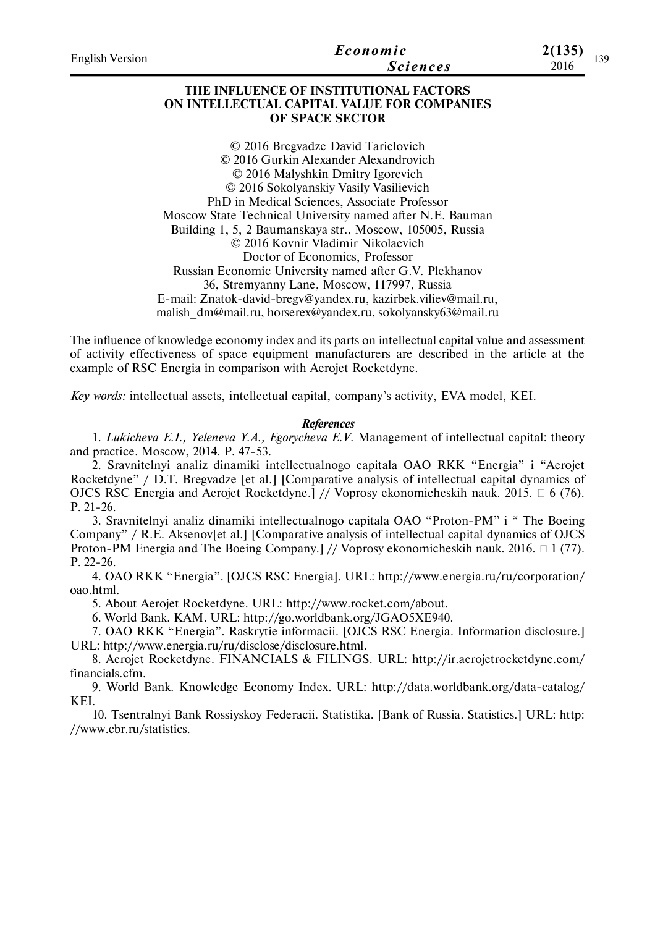| <b>English Version</b> | Economic<br><b>Sciences</b>                                                                              | 2(135)<br>2016 | 139 |
|------------------------|----------------------------------------------------------------------------------------------------------|----------------|-----|
|                        | THE INFLUENCE OF INSTITUTIONAL FACTORS<br>ON INTELLECTUAL CAPITAL VALUE FOR COMPANIES<br>OF SPACE SECTOR |                |     |
|                        | © 2016 Bregvadze David Tarielovich                                                                       |                |     |
|                        | © 2016 Gurkin Alexander Alexandrovich                                                                    |                |     |
|                        | © 2016 Malyshkin Dmitry Igorevich                                                                        |                |     |
|                        | © 2016 Sokolyanskiy Vasily Vasilievich                                                                   |                |     |
|                        | PhD in Medical Sciences, Associate Professor                                                             |                |     |
|                        | Moscow State Technical University named after N.E. Bauman                                                |                |     |
|                        | Building 1, 5, 2 Baumanskaya str., Moscow, 105005, Russia                                                |                |     |
|                        | © 2016 Kovnir Vladimir Nikolaevich                                                                       |                |     |
|                        | n cr · ne                                                                                                |                |     |

Doctor of Economics, Professor Russian Economic University named after G.V. Plekhanov 36, Stremyanny Lane, Moscow, 117997, Russia E-mail: Znatok-david-bregv@yandex.ru, kazirbek.viliev@mail.ru, malish\_dm@mail.ru, horserex@yandex.ru, sokolyansky63@mail.ru

The influence of knowledge economy index and its parts on intellectual capital value and assessment of activity effectiveness of space equipment manufacturers are described in the article at the example of RSC Energia in comparison with Aerojet Rocketdyne.

*Key words:* intellectual assets, intellectual capital, company's activity, EVA model, KEI.

#### *References*

1. *Lukicheva E.I., Yeleneva Y.A., Egorycheva E.V.* Management of intellectual capital: theory and practice. Moscow, 2014. P. 47-53.

2. Sravnitelnyi analiz dinamiki intellectualnogo capitala OAO RKK "Energia" i "Aerojet Rocketdyne" / D.T. Bregvadze [et al.] [Comparative analysis of intellectual capital dynamics of OJCS RSC Energia and Aerojet Rocketdyne.] // Voprosy ekonomicheskih nauk. 2015.  $\Box$  6 (76). P. 21-26.

3. Sravnitelnyi analiz dinamiki intellectualnogo capitala OAO "Proton-PM" i " The Boeing Company" / R.E. Aksenov[et al.] [Comparative analysis of intellectual capital dynamics of OJCS Proton-PM Energia and The Boeing Company.] // Voprosy ekonomicheskih nauk. 2016.  $\Box$  1 (77). P. 22-26.

4. OAO RKK "Energia". [OJCS RSC Energia]. URL: http://www.energia.ru/ru/corporation/ oao.html.

5. About Aerojet Rocketdyne. URL: http://www.rocket.com/about.

6. World Bank. KAM. URL: http://go.worldbank.org/JGAO5XE940.

7. OAO RKK "Energia". Raskrytie informacii. [OJCS RSC Energia. Information disclosure.] URL: http://www.energia.ru/ru/disclose/disclosure.html.

8. Aerojet Rocketdyne. FINANCIALS & FILINGS. URL: http://ir.aerojetrocketdyne.com/ financials.cfm.

9. World Bank. Knowledge Economy Index. URL: http://data.worldbank.org/data-catalog/ KEI.

10. Tsentralnyi Bank Rossiyskoy Federacii. Statistika. [Bank of Russia. Statistics.] URL: http: //www.cbr.ru/statistics.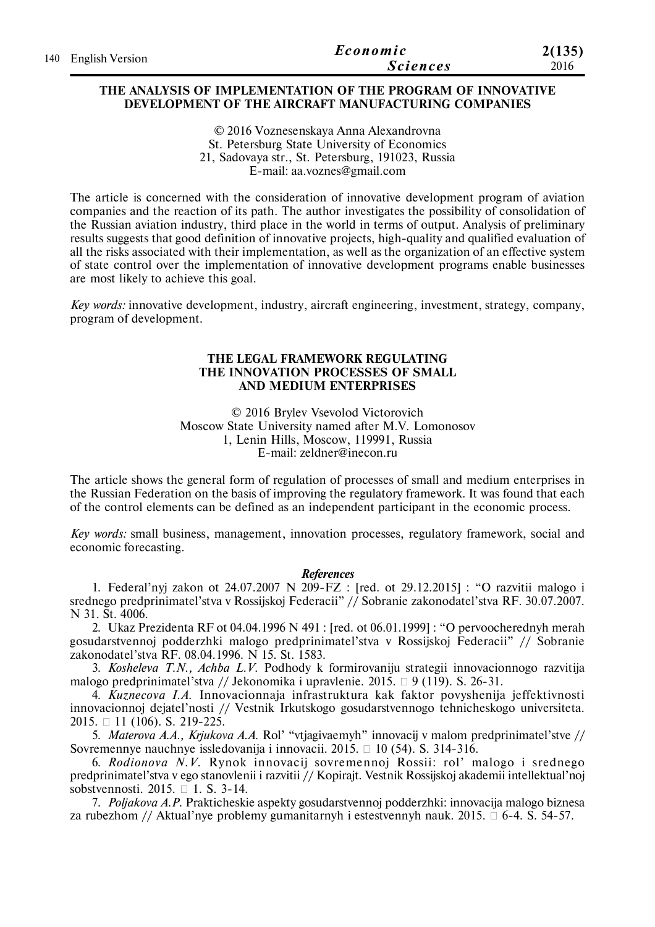| 140 English Version | Economic        | 2(135) |
|---------------------|-----------------|--------|
|                     | <b>Sciences</b> | 2016   |

#### **THE ANALYSIS OF IMPLEMENTATION OF THE PROGRAM OF INNOVATIVE DEVELOPMENT OF THE AIRCRAFT MANUFACTURING COMPANIES**

© 2016 Voznesenskaya Anna Alexandrovna St. Petersburg State University of Economics 21, Sadovaya str., St. Petersburg, 191023, Russia E-mail: aa.voznes@gmail.com

The article is concerned with the consideration of innovative development program of aviation companies and the reaction of its path. The author investigates the possibility of consolidation of the Russian aviation industry, third place in the world in terms of output. Analysis of preliminary results suggests that good definition of innovative projects, high-quality and qualified evaluation of all the risks associated with their implementation, as well as the organization of an effective system of state control over the implementation of innovative development programs enable businesses are most likely to achieve this goal.

*Key words:* innovative development, industry, aircraft engineering, investment, strategy, company, program of development.

#### **THE LEGAL FRAMEWORK REGULATING THE INNOVATION PROCESSES OF SMALL AND MEDIUM ENTERPRISES**

© 2016 Brylev Vsevolod Victorovich Moscow State University named after M.V. Lomonosov 1, Lenin Hills, Moscow, 119991, Russia E-mail: zeldner@inecon.ru

The article shows the general form of regulation of processes of small and medium enterprises in the Russian Federation on the basis of improving the regulatory framework. It was found that each of the control elements can be defined as an independent participant in the economic process.

*Key words:* small business, management, innovation processes, regulatory framework, social and economic forecasting.

#### *References*

1. Federal'nyj zakon ot 24.07.2007 N 209-FZ : [red. ot 29.12.2015] : "O razvitii malogo i srednego predprinimatel'stva v Rossijskoj Federacii" // Sobranie zakonodatel'stva RF. 30.07.2007. N 31. St. 4006.

2. Ukaz Prezidenta RF ot 04.04.1996 N 491 : [red. ot 06.01.1999] : "O pervoocherednyh merah gosudarstvennoj podderzhki malogo predprinimatel'stva v Rossijskoj Federacii" // Sobranie zakonodatel'stva RF. 08.04.1996. N 15. St. 1583.

3. *Kosheleva T.N., Achba L.V.* Podhody k formirovaniju strategii innovacionnogo razvitija malogo predprinimatel'stva // Jekonomika i upravlenie. 2015.  $\Box$  9 (119). S. 26-31.

4. *Kuznecova I.A.* Innovacionnaja infrastruktura kak faktor povyshenija jeffektivnosti innovacionnoj dejatel'nosti // Vestnik Irkutskogo gosudarstvennogo tehnicheskogo universiteta. 2015. 11 (106). S. 219-225.

5. *Materova A.A., Krjukova A.A.* Rol' "vtjagivaemyh" innovacij v malom predprinimatel'stve // Sovremennye nauchnye issledovanija i innovacii. 2015. 10 (54). S. 314-316.

6. *Rodionova N.V.* Rynok innovacij sovremennoj Rossii: rol' malogo i srednego predprinimatel'stva v ego stanovlenii i razvitii // Kopirajt. Vestnik Rossijskoj akademii intellektual'noj sobstvennosti. 2015.  $\Box$  1. S. 3-14.

7. *Poljakova A.P.* Prakticheskie aspekty gosudarstvennoj podderzhki: innovacija malogo biznesa za rubezhom // Aktual'nye problemy gumanitarnyh i estestvennyh nauk. 2015.  $\Box$  6-4. S. 54-57.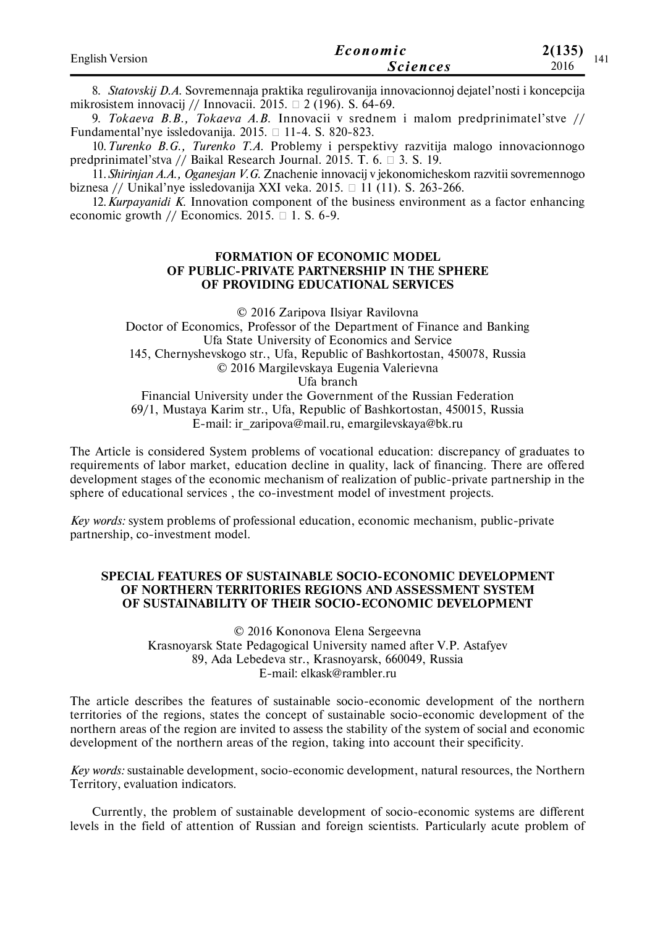| <b>English Version</b> | Economic        | 2(135) |  |
|------------------------|-----------------|--------|--|
|                        | <i>Sciences</i> | 2016   |  |

8. *Statovskij D.A.* Sovremennaja praktika regulirovanija innovacionnoj dejatel'nosti i koncepcija mikrosistem innovacij // Innovacii. 2015.  $\Box$  2 (196). S. 64-69.

9. *Tokaeva B.B., Tokaeva A.B.* Innovacii v srednem i malom predprinimatel'stve // Fundamental'nye issledovanija. 2015.  $\Box$  11-4. S. 820-823.

10.*Turenko B.G., Turenko T.A.* Problemy i perspektivy razvitija malogo innovacionnogo predprinimatel'stva // Baikal Research Journal. 2015. T. 6.  $\Box$  3. S. 19.

11.*Shirinjan A.A., Oganesjan V.G.* Znachenie innovacij v jekonomicheskom razvitii sovremennogo biznesa // Unikal'nye issledovanija XXI veka. 2015.  $\Box$  11 (11). S. 263-266.

12.*Kurpayanidi K.* Innovation component of the business environment as a factor enhancing economic growth // Economics. 2015.  $\Box$  1. S. 6-9.

#### **FORMATION OF ECONOMIC MODEL OF PUBLIC-PRIVATE PARTNERSHIP IN THE SPHERE OF PROVIDING EDUCATIONAL SERVICES**

© 2016 Zaripova Ilsiyar Ravilovna Doctor of Economics, Professor of the Department of Finance and Banking Ufa State University of Economics and Service 145, Chernyshevskogo str., Ufa, Republic of Bashkortostan, 450078, Russia © 2016 Margilevskaya Eugenia Valerievna Ufa branch Financial University under the Government of the Russian Federation 69/1, Mustaya Karim str., Ufa, Republic of Bashkortostan, 450015, Russia

E-mail: ir\_zaripova@mail.ru, emargilevskaya@bk.ru

The Article is considered System problems of vocational education: discrepancy of graduates to requirements of labor market, education decline in quality, lack of financing. There are offered development stages of the economic mechanism of realization of public-private partnership in the sphere of educational services , the co-investment model of investment projects.

*Key words:* system problems of professional education, economic mechanism, public-private partnership, co-investment model.

## **SPECIAL FEATURES OF SUSTAINABLE SOCIO-ECONOMIC DEVELOPMENT OF NORTHERN TERRITORIES REGIONS AND ASSESSMENT SYSTEM OF SUSTAINABILITY OF THEIR SOCIO-ECONOMIC DEVELOPMENT**

© 2016 Kononova Elena Sergeevna Krasnoyarsk State Pedagogical University named after V.P. Astafyev 89, Ada Lebedeva str., Krasnoyarsk, 660049, Russia E-mail: elkask@rambler.ru

The article describes the features of sustainable socio-economic development of the northern territories of the regions, states the concept of sustainable socio-economic development of the northern areas of the region are invited to assess the stability of the system of social and economic development of the northern areas of the region, taking into account their specificity.

*Key words:* sustainable development, socio-economic development, natural resources, the Northern Territory, evaluation indicators.

Currently, the problem of sustainable development of socio-economic systems are different levels in the field of attention of Russian and foreign scientists. Particularly acute problem of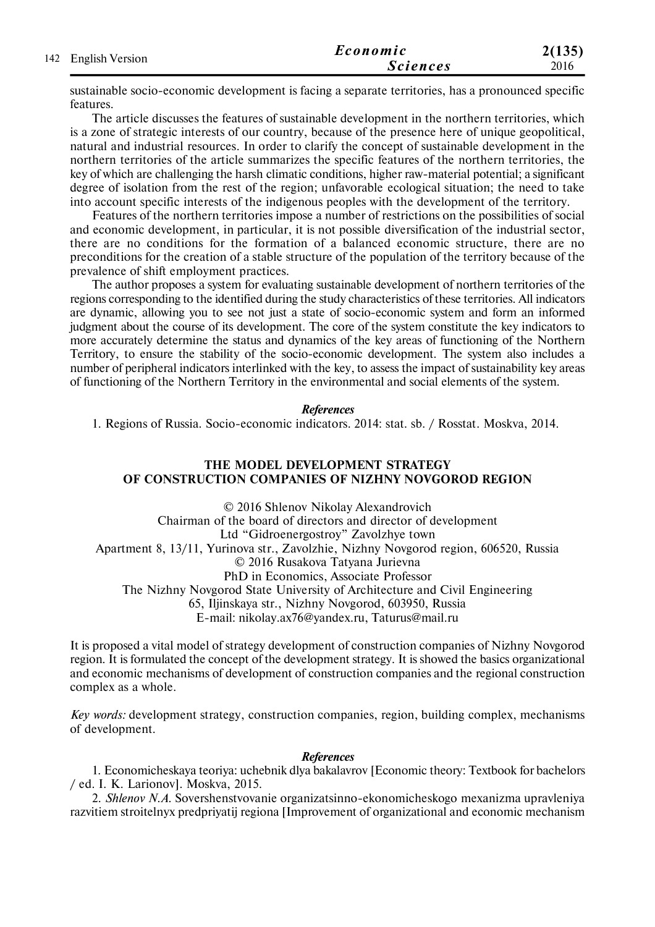| 142 English Version | Economic        | 2(135) |
|---------------------|-----------------|--------|
|                     | <i>Sciences</i> | 2016   |

sustainable socio-economic development is facing a separate territories, has a pronounced specific features.

The article discusses the features of sustainable development in the northern territories, which is a zone of strategic interests of our country, because of the presence here of unique geopolitical, natural and industrial resources. In order to clarify the concept of sustainable development in the northern territories of the article summarizes the specific features of the northern territories, the key of which are challenging the harsh climatic conditions, higher raw-material potential; a significant degree of isolation from the rest of the region; unfavorable ecological situation; the need to take into account specific interests of the indigenous peoples with the development of the territory.

Features of the northern territories impose a number of restrictions on the possibilities of social and economic development, in particular, it is not possible diversification of the industrial sector, there are no conditions for the formation of a balanced economic structure, there are no preconditions for the creation of a stable structure of the population of the territory because of the prevalence of shift employment practices.

The author proposes a system for evaluating sustainable development of northern territories of the regions corresponding to the identified during the study characteristics of these territories. All indicators are dynamic, allowing you to see not just a state of socio-economic system and form an informed judgment about the course of its development. The core of the system constitute the key indicators to more accurately determine the status and dynamics of the key areas of functioning of the Northern Territory, to ensure the stability of the socio-economic development. The system also includes a number of peripheral indicators interlinked with the key, to assess the impact of sustainability key areas of functioning of the Northern Territory in the environmental and social elements of the system.

#### *References*

1. Regions of Russia. Socio-economic indicators. 2014: stat. sb. / Rosstat. Moskva, 2014.

## **THE MODEL DEVELOPMENT STRATEGY OF CONSTRUCTION COMPANIES OF NIZHNY NOVGOROD REGION**

© 2016 Shlenov Nikolay Alexandrovich Chairman of the board of directors and director of development Ltd "Gidroenergostroy" Zavolzhye town Apartment 8, 13/11, Yurinova str., Zavolzhie, Nizhny Novgorod region, 606520, Russia © 2016 Rusakova Tatyana Jurievna PhD in Economics, Associate Professor The Nizhny Novgorod State University of Architecture and Civil Engineering 65, Iljinskaya str., Nizhny Novgorod, 603950, Russia E-mail: nikolay.ax76@yandex.ru, Taturus@mail.ru

It is proposed a vital model of strategy development of construction companies of Nizhny Novgorod region. It is formulated the concept of the development strategy. It is showed the basics organizational and economic mechanisms of development of construction companies and the regional construction complex as a whole.

*Key words:* development strategy, construction companies, region, building complex, mechanisms of development.

#### *References*

1. Economicheskaya teoriya: uchebnik dlya bakalavrov [Economic theory: Textbook for bachelors / ed. I. K. Larionov]. Moskva, 2015.

2. *Shlenov N.A.* Sovershenstvovanie organizatsinno-ekonomicheskogo mexanizma upravleniya razvitiem stroitelnyx predpriyatij regiona [Improvement of organizational and economic mechanism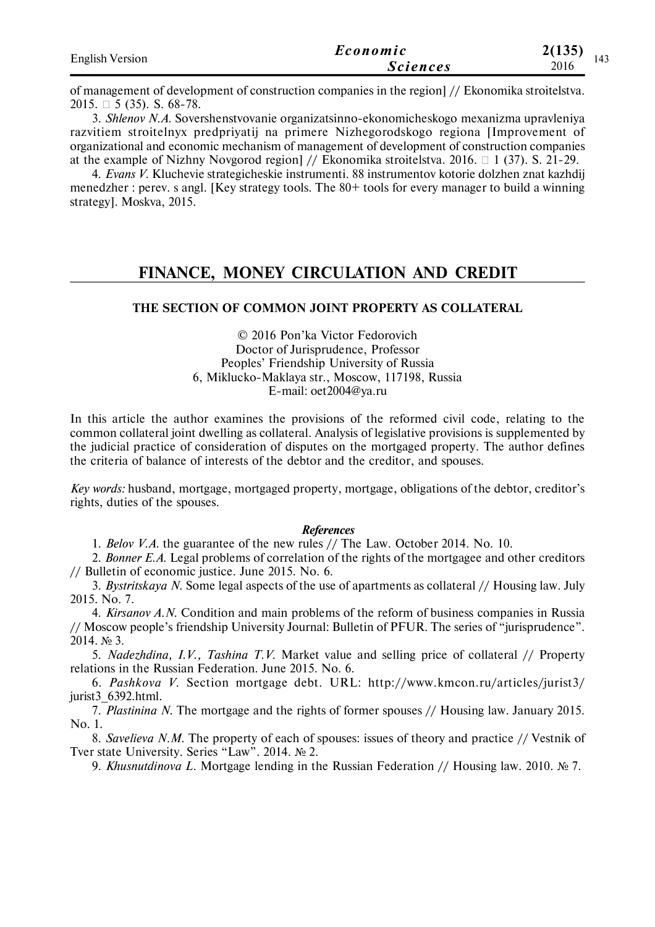| <b>English Version</b> | Economic        | 2(135) |  |
|------------------------|-----------------|--------|--|
|                        | <b>Sciences</b> | 2016   |  |

of management of development of construction companies in the region] // Ekonomika stroitelstva. 2015.  $\Box$  5 (35). S. 68-78.

3. *Shlenov N.A.* Sovershenstvovanie organizatsinno-ekonomicheskogo mexanizma upravleniya razvitiem stroitelnyx predpriyatij na primere Nizhegorodskogo regiona [Improvement of organizational and economic mechanism of management of development of construction companies at the example of Nizhny Novgorod region] // Ekonomika stroitelstva. 2016.  $\Box$  1 (37). S. 21-29.

4. *Evans V.* Kluchevie strategicheskie instrumenti. 88 instrumentov kotorie dolzhen znat kazhdij menedzher : perev. s angl. [Key strategy tools. The 80+ tools for every manager to build a winning strategy]. Moskva, 2015.

# **FINANCE, MONEY CIRCULATION AND CREDIT**

# **THE SECTION OF COMMON JOINT PROPERTY AS COLLATERAL**

© 2016 Pon'ka Victor Fedorovich Doctor of Jurisprudence, Professor Peoples' Friendship University of Russia 6, Miklucko-Maklaya str., Moscow, 117198, Russia E-mail: oet2004@ya.ru

In this article the author examines the provisions of the reformed civil code, relating to the common collateral joint dwelling as collateral. Analysis of legislative provisions is supplemented by the judicial practice of consideration of disputes on the mortgaged property. The author defines the criteria of balance of interests of the debtor and the creditor, and spouses.

*Key words:* husband, mortgage, mortgaged property, mortgage, obligations of the debtor, creditor's rights, duties of the spouses.

#### *References*

1. *Belov V.A.* the guarantee of the new rules // The Law. October 2014. No. 10.

2. *Bonner E.A.* Legal problems of correlation of the rights of the mortgagee and other creditors // Bulletin of economic justice. June 2015. No. 6.

3. *Bystritskaya N.* Some legal aspects of the use of apartments as collateral // Housing law. July 2015. No. 7.

4. *Kirsanov A.N.* Condition and main problems of the reform of business companies in Russia // Moscow people's friendship University Journal: Bulletin of PFUR. The series of "jurisprudence". 2014. № 3.

5. *Nadezhdina, I.V., Tashina T.V.* Market value and selling price of collateral // Property relations in the Russian Federation. June 2015. No. 6.

6. *Pashkova V.* Section mortgage debt. URL: http://www.kmcon.ru/articles/jurist3/ jurist3 6392.html.

7. *Plastinina N.* The mortgage and the rights of former spouses // Housing law. January 2015. No. 1.

8. *Savelieva N.M.* The property of each of spouses: issues of theory and practice // Vestnik of Tver state University. Series "Law". 2014. № 2.

9. *Khusnutdinova L.* Mortgage lending in the Russian Federation // Housing law. 2010. № 7.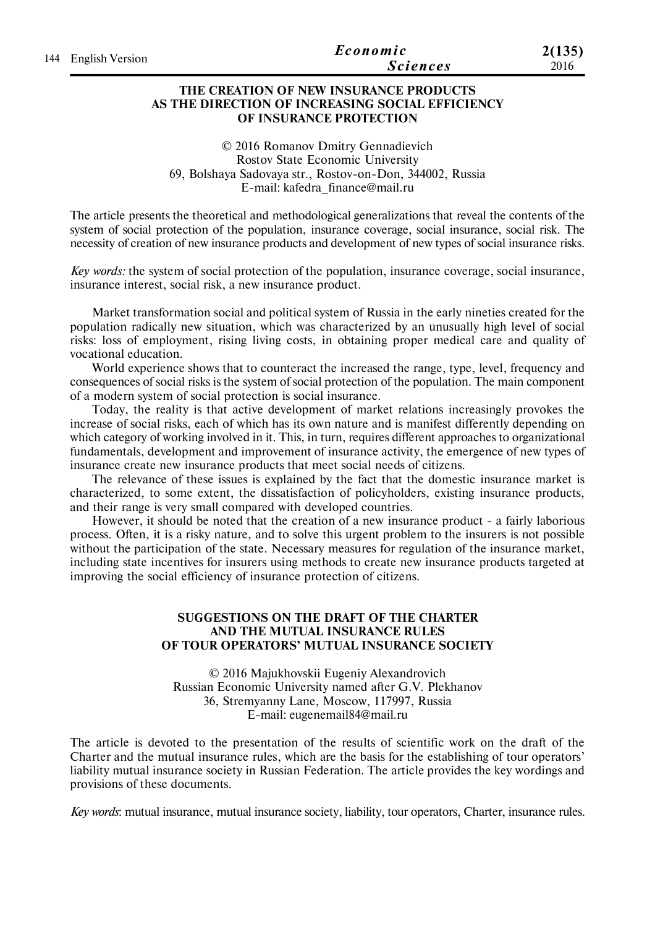| 144 English Version | Economic        | 2(135) |
|---------------------|-----------------|--------|
|                     | <b>Sciences</b> | 2016   |

### **THE CREATION OF NEW INSURANCE PRODUCTS AS THE DIRECTION OF INCREASING SOCIAL EFFICIENCY OF INSURANCE PROTECTION**

© 2016 Romanov Dmitry Gennadievich Rostov State Economic University 69, Bolshaya Sadovaya str., Rostov-on-Don, 344002, Russia E-mail: kafedra\_finance@mail.ru

The article presents the theoretical and methodological generalizations that reveal the contents of the system of social protection of the population, insurance coverage, social insurance, social risk. The necessity of creation of new insurance products and development of new types of social insurance risks.

*Key words:* the system of social protection of the population, insurance coverage, social insurance, insurance interest, social risk, a new insurance product.

Market transformation social and political system of Russia in the early nineties created for the population radically new situation, which was characterized by an unusually high level of social risks: loss of employment, rising living costs, in obtaining proper medical care and quality of vocational education.

World experience shows that to counteract the increased the range, type, level, frequency and consequences of social risks is the system of social protection of the population. The main component of a modern system of social protection is social insurance.

Today, the reality is that active development of market relations increasingly provokes the increase of social risks, each of which has its own nature and is manifest differently depending on which category of working involved in it. This, in turn, requires different approaches to organizational fundamentals, development and improvement of insurance activity, the emergence of new types of insurance create new insurance products that meet social needs of citizens.

The relevance of these issues is explained by the fact that the domestic insurance market is characterized, to some extent, the dissatisfaction of policyholders, existing insurance products, and their range is very small compared with developed countries.

However, it should be noted that the creation of a new insurance product - a fairly laborious process. Often, it is a risky nature, and to solve this urgent problem to the insurers is not possible without the participation of the state. Necessary measures for regulation of the insurance market, including state incentives for insurers using methods to create new insurance products targeted at improving the social efficiency of insurance protection of citizens.

#### **SUGGESTIONS ON THE DRAFT OF THE CHARTER AND THE MUTUAL INSURANCE RULES OF TOUR OPERATORS' MUTUAL INSURANCE SOCIETY**

© 2016 Majukhovskii Eugeniy Alexandrovich Russian Economic University named after G.V. Plekhanov 36, Stremyanny Lane, Moscow, 117997, Russia E-mail: eugenemail84@mail.ru

The article is devoted to the presentation of the results of scientific work on the draft of the Charter and the mutual insurance rules, which are the basis for the establishing of tour operators' liability mutual insurance society in Russian Federation. The article provides the key wordings and provisions of these documents.

*Key words*: mutual insurance, mutual insurance society, liability, tour operators, Charter, insurance rules.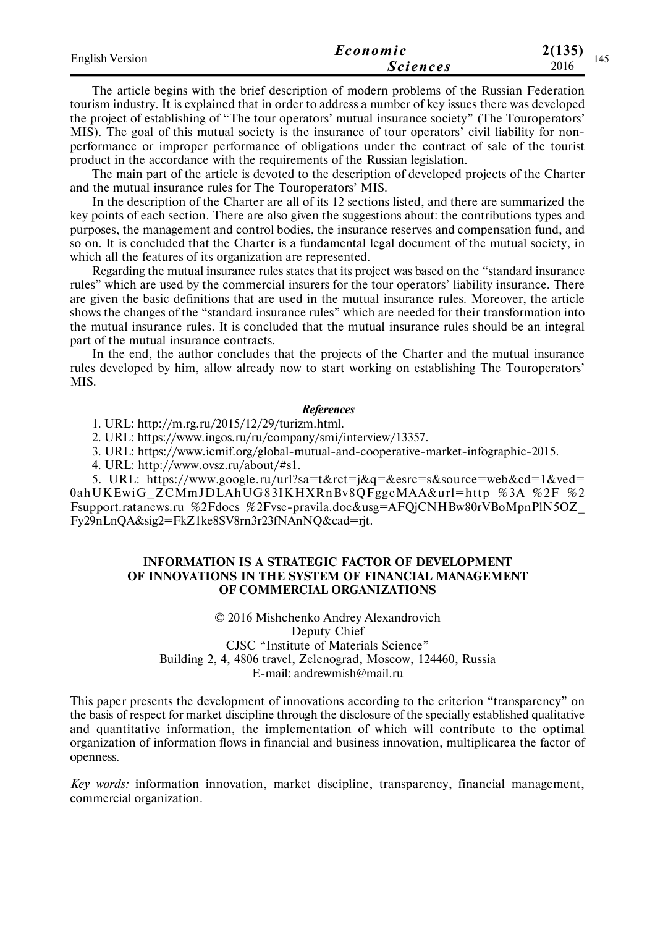| <b>English Version</b> | Economic        | 2(135) |
|------------------------|-----------------|--------|
|                        | <i>Sciences</i> | 2016   |

The article begins with the brief description of modern problems of the Russian Federation tourism industry. It is explained that in order to address a number of key issues there was developed the project of establishing of "The tour operators' mutual insurance society" (The Touroperators' MIS). The goal of this mutual society is the insurance of tour operators' civil liability for nonperformance or improper performance of obligations under the contract of sale of the tourist product in the accordance with the requirements of the Russian legislation.

The main part of the article is devoted to the description of developed projects of the Charter and the mutual insurance rules for The Touroperators' MIS.

In the description of the Charter are all of its 12 sections listed, and there are summarized the key points of each section. There are also given the suggestions about: the contributions types and purposes, the management and control bodies, the insurance reserves and compensation fund, and so on. It is concluded that the Charter is a fundamental legal document of the mutual society, in which all the features of its organization are represented.

Regarding the mutual insurance rules states that its project was based on the "standard insurance rules" which are used by the commercial insurers for the tour operators' liability insurance. There are given the basic definitions that are used in the mutual insurance rules. Moreover, the article shows the changes of the "standard insurance rules" which are needed for their transformation into the mutual insurance rules. It is concluded that the mutual insurance rules should be an integral part of the mutual insurance contracts.

In the end, the author concludes that the projects of the Charter and the mutual insurance rules developed by him, allow already now to start working on establishing The Touroperators' MIS.

#### *References*

1. URL: http://m.rg.ru/2015/12/29/turizm.html.

2. URL: https://www.ingos.ru/ru/company/smi/interview/13357.

3. URL: https://www.icmif.org/global-mutual-and-cooperative-market-infographic-2015.

4. URL: http://www.ovsz.ru/about/#s1.

5. URL: https://www.google.ru/url?sa=t&rct=j&q=&esrc=s&source=web&cd=1&ved= 0ahUKEwiG ZCMmJDLAhUG83IKHXRnBv8QFggcMAA&url=http %3A %2F %2 Fsupport.ratanews.ru %2Fdocs %2Fvse-pravila.doc&usg=AFQjCNHBw80rVBoMpnPlN5OZ\_ Fy29nLnQA&sig2=FkZ1ke8SV8rn3r23fNAnNQ&cad=rjt.

### **INFORMATION IS A STRATEGIC FACTOR OF DEVELOPMENT OF INNOVATIONS IN THE SYSTEM OF FINANCIAL MANAGEMENT OF COMMERCIAL ORGANIZATIONS**

© 2016 Mishchenko Andrey Alexandrovich Deputy Chief CJSC "Institute of Materials Science" Building 2, 4, 4806 travel, Zelenograd, Moscow, 124460, Russia E-mail: andrewmish@mail.ru

This paper presents the development of innovations according to the criterion "transparency" on the basis of respect for market discipline through the disclosure of the specially established qualitative and quantitative information, the implementation of which will contribute to the optimal organization of information flows in financial and business innovation, multiplicarea the factor of openness.

*Key words:* information innovation, market discipline, transparency, financial management, commercial organization.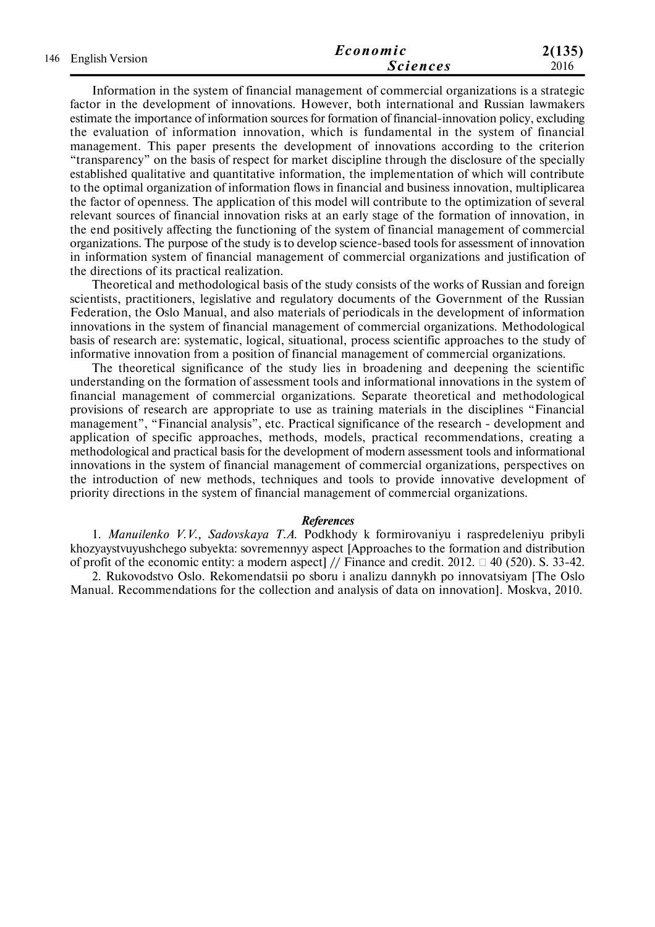| 146 English Version | Economic        | 2(135) |
|---------------------|-----------------|--------|
|                     | <b>Sciences</b> | 2016   |

Information in the system of financial management of commercial organizations is a strategic factor in the development of innovations. However, both international and Russian lawmakers estimate the importance of information sources for formation of financial-innovation policy, excluding the evaluation of information innovation, which is fundamental in the system of financial management. This paper presents the development of innovations according to the criterion "transparency" on the basis of respect for market discipline through the disclosure of the specially established qualitative and quantitative information, the implementation of which will contribute to the optimal organization of information flows in financial and business innovation, multiplicarea the factor of openness. The application of this model will contribute to the optimization of several relevant sources of financial innovation risks at an early stage of the formation of innovation, in the end positively affecting the functioning of the system of financial management of commercial organizations. The purpose of the study is to develop science-based tools for assessment of innovation in information system of financial management of commercial organizations and justification of the directions of its practical realization.

Theoretical and methodological basis of the study consists of the works of Russian and foreign scientists, practitioners, legislative and regulatory documents of the Government of the Russian Federation, the Oslo Manual, and also materials of periodicals in the development of information innovations in the system of financial management of commercial organizations. Methodological basis of research are: systematic, logical, situational, process scientific approaches to the study of informative innovation from a position of financial management of commercial organizations.

The theoretical significance of the study lies in broadening and deepening the scientific understanding on the formation of assessment tools and informational innovations in the system of financial management of commercial organizations. Separate theoretical and methodological provisions of research are appropriate to use as training materials in the disciplines "Financial management", "Financial analysis", etc. Practical significance of the research - development and application of specific approaches, methods, models, practical recommendations, creating a methodological and practical basis for the development of modern assessment tools and informational innovations in the system of financial management of commercial organizations, perspectives on the introduction of new methods, techniques and tools to provide innovative development of priority directions in the system of financial management of commercial organizations.

#### *References*

1. *Manuilenko V.V., Sadovskaya T.A.* Podkhody k formirovaniyu i raspredeleniyu pribyli khozyaystvuyushchego subyekta: sovremennyy aspect [Approaches to the formation and distribution of profit of the economic entity: a modern aspect  $\frac{1}{\sqrt{5}}$  Finance and credit. 2012.  $\Box$  40 (520). S. 33-42.

2. Rukovodstvo Oslo. Rekomendatsii po sboru i analizu dannykh po innovatsiyam [The Oslo Manual. Recommendations for the collection and analysis of data on innovation]. Moskva, 2010.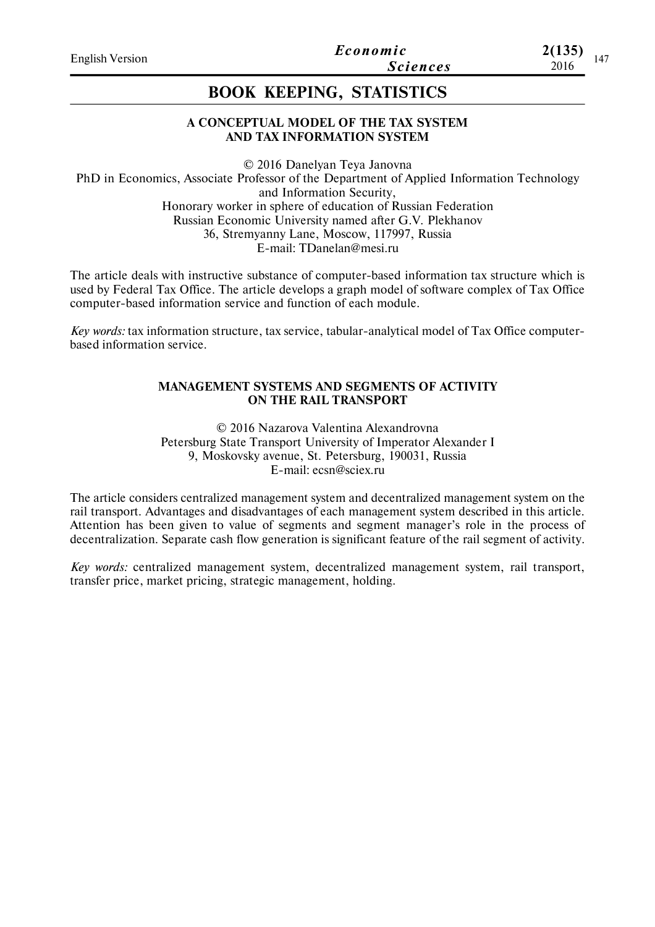# **BOOK KEEPING, STATISTICS**

# **A CONCEPTUAL MODEL OF THE TAX SYSTEM AND TAX INFORMATION SYSTEM**

© 2016 Danelyan Teya Janovna PhD in Economics, Associate Professor of the Department of Applied Information Technology and Information Security, Honorary worker in sphere of education of Russian Federation Russian Economic University named after G.V. Plekhanov 36, Stremyanny Lane, Moscow, 117997, Russia E-mail: TDanelan@mesi.ru

The article deals with instructive substance of computer-based information tax structure which is used by Federal Tax Office. The article develops a graph model of software complex of Tax Office computer-based information service and function of each module.

*Key words:* tax information structure, tax service, tabular-analytical model of Tax Office computerbased information service.

### **MANAGEMENT SYSTEMS AND SEGMENTS OF ACTIVITY ON THE RAIL TRANSPORT**

© 2016 Nazarova Valentina Alexandrovna Petersburg State Transport University of Imperator Alexander I 9, Moskovsky avenue, St. Petersburg, 190031, Russia E-mail: ecsn@sciex.ru

The article considers centralized management system and decentralized management system on the rail transport. Advantages and disadvantages of each management system described in this article. Attention has been given to value of segments and segment manager's role in the process of decentralization. Separate cash flow generation is significant feature of the rail segment of activity.

*Key words:* centralized management system, decentralized management system, rail transport, transfer price, market pricing, strategic management, holding.